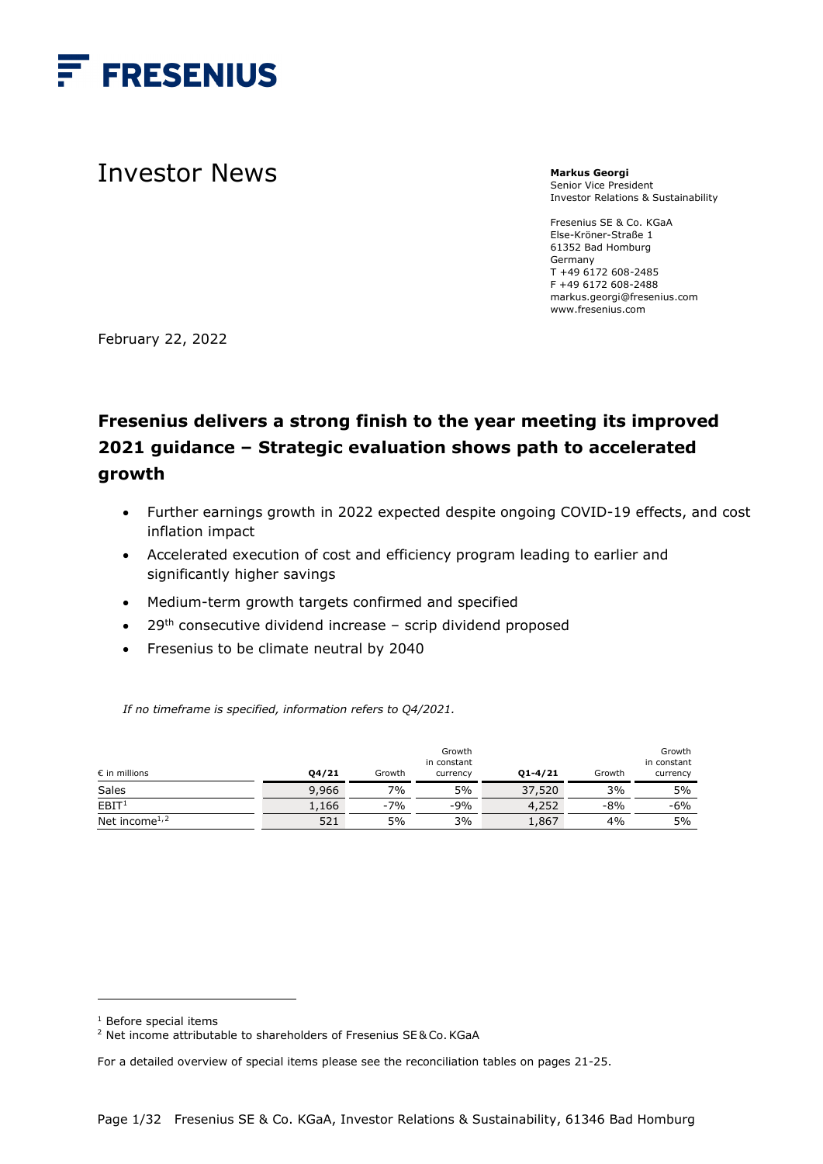

# Investor News

**Markus Georgi** Senior Vice President Investor Relations & Sustainability

Fresenius SE & Co. KGaA Else-Kröner-Straße 1 61352 Bad Homburg Germany T +49 6172 608-2485 F +49 6172 608-2488 markus.georgi@fresenius.com www.fresenius.com

February 22, 2022

# **Fresenius delivers a strong finish to the year meeting its improved 2021 guidance – Strategic evaluation shows path to accelerated growth**

- Further earnings growth in 2022 expected despite ongoing COVID-19 effects, and cost inflation impact
- Accelerated execution of cost and efficiency program leading to earlier and significantly higher savings
- Medium-term growth targets confirmed and specified
- $\bullet$  29<sup>th</sup> consecutive dividend increase scrip dividend proposed
- Fresenius to be climate neutral by 2040

*If no timeframe is specified, information refers to Q4/2021.*

| $\epsilon$ in millions                 | 04/21 | Growth | Growth<br>in constant<br>currency | $Q1 - 4/21$ | Growth | Growth<br>in constant<br>currency |
|----------------------------------------|-------|--------|-----------------------------------|-------------|--------|-----------------------------------|
| Sales                                  | 9,966 | 7%     | 5%                                | 37,520      | 3%     | 5%                                |
| EBIT <sup>1</sup>                      | 1,166 | $-7%$  | $-9%$                             | 4,252       | $-8%$  | $-6%$                             |
| Net income <sup><math>1,2</math></sup> | 521   | 5%     | 3%                                | 1,867       | 4%     | 5%                                |

<sup>&</sup>lt;sup>1</sup> Before special items

<span id="page-0-1"></span><span id="page-0-0"></span><sup>&</sup>lt;sup>2</sup> Net income attributable to shareholders of Fresenius SE& Co. KGaA

For a detailed overview of special items please see the reconciliation tables on pages 21-25.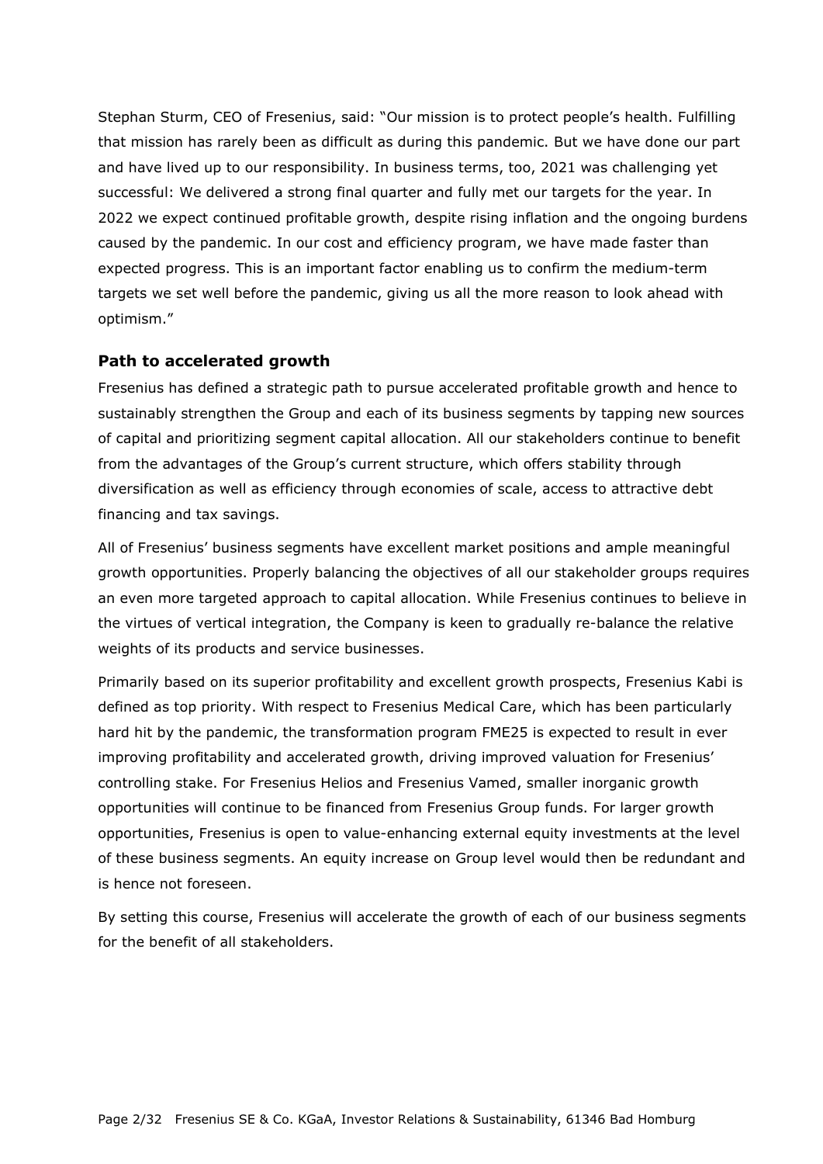Stephan Sturm, CEO of Fresenius, said: "Our mission is to protect people's health. Fulfilling that mission has rarely been as difficult as during this pandemic. But we have done our part and have lived up to our responsibility. In business terms, too, 2021 was challenging yet successful: We delivered a strong final quarter and fully met our targets for the year. In 2022 we expect continued profitable growth, despite rising inflation and the ongoing burdens caused by the pandemic. In our cost and efficiency program, we have made faster than expected progress. This is an important factor enabling us to confirm the medium-term targets we set well before the pandemic, giving us all the more reason to look ahead with optimism."

#### **Path to accelerated growth**

Fresenius has defined a strategic path to pursue accelerated profitable growth and hence to sustainably strengthen the Group and each of its business segments by tapping new sources of capital and prioritizing segment capital allocation. All our stakeholders continue to benefit from the advantages of the Group's current structure, which offers stability through diversification as well as efficiency through economies of scale, access to attractive debt financing and tax savings.

All of Fresenius' business segments have excellent market positions and ample meaningful growth opportunities. Properly balancing the objectives of all our stakeholder groups requires an even more targeted approach to capital allocation. While Fresenius continues to believe in the virtues of vertical integration, the Company is keen to gradually re-balance the relative weights of its products and service businesses.

Primarily based on its superior profitability and excellent growth prospects, Fresenius Kabi is defined as top priority. With respect to Fresenius Medical Care, which has been particularly hard hit by the pandemic, the transformation program FME25 is expected to result in ever improving profitability and accelerated growth, driving improved valuation for Fresenius' controlling stake. For Fresenius Helios and Fresenius Vamed, smaller inorganic growth opportunities will continue to be financed from Fresenius Group funds. For larger growth opportunities, Fresenius is open to value-enhancing external equity investments at the level of these business segments. An equity increase on Group level would then be redundant and is hence not foreseen.

By setting this course, Fresenius will accelerate the growth of each of our business segments for the benefit of all stakeholders.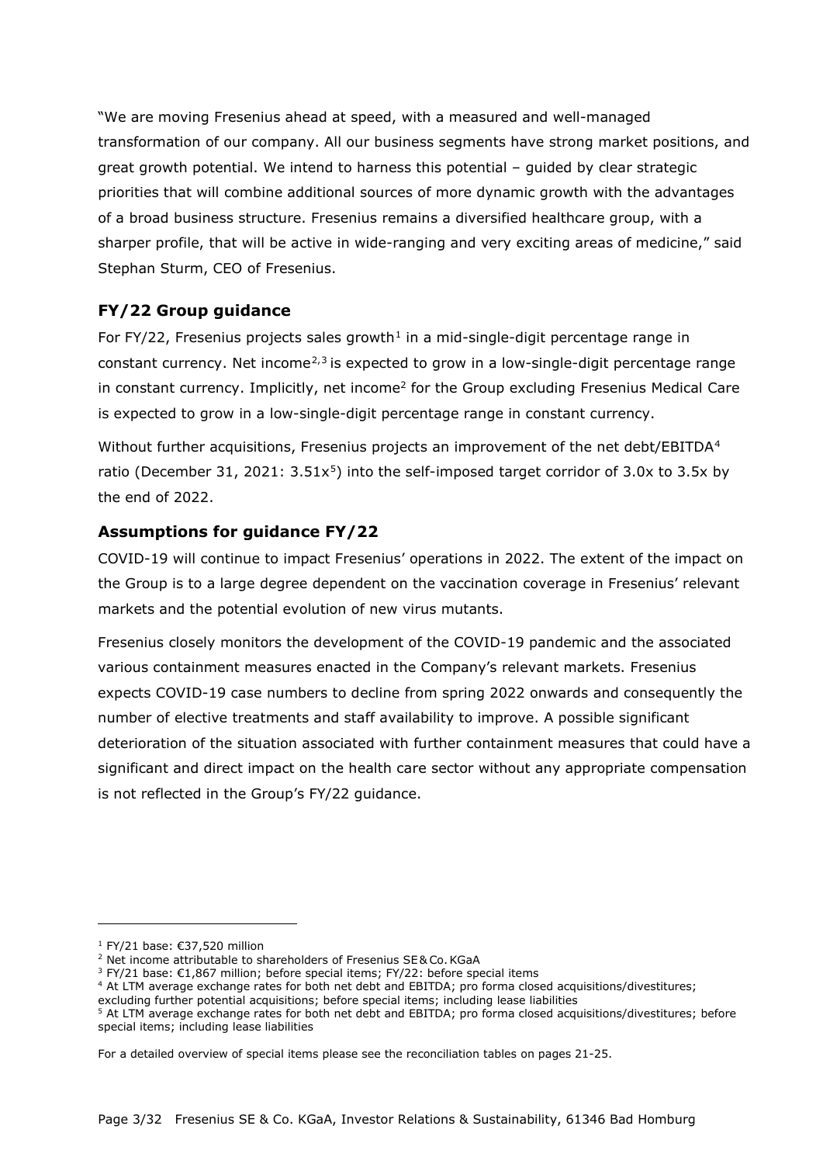"We are moving Fresenius ahead at speed, with a measured and well-managed transformation of our company. All our business segments have strong market positions, and great growth potential. We intend to harness this potential – guided by clear strategic priorities that will combine additional sources of more dynamic growth with the advantages of a broad business structure. Fresenius remains a diversified healthcare group, with a sharper profile, that will be active in wide-ranging and very exciting areas of medicine," said Stephan Sturm, CEO of Fresenius.

# **FY/22 Group guidance**

For FY/22, Fresenius projects sales growth<sup>[1](#page-2-0)</sup> in a mid-single-digit percentage range in constant currency. Net income<sup> $2,3$  $2,3$ </sup> is expected to grow in a low-single-digit percentage range in constant currency. Implicitly, net income<sup>2</sup> for the Group excluding Fresenius Medical Care is expected to grow in a low-single-digit percentage range in constant currency.

Without further acquisitions, Fresenius projects an improvement of the net debt/EBITDA<sup>[4](#page-2-3)</sup> ratio (December 31, 2021:  $3.51x^5$  $3.51x^5$  $3.51x^5$ ) into the self-imposed target corridor of 3.0x to 3.5x by the end of 2022.

# **Assumptions for guidance FY/22**

COVID-19 will continue to impact Fresenius' operations in 2022. The extent of the impact on the Group is to a large degree dependent on the vaccination coverage in Fresenius' relevant markets and the potential evolution of new virus mutants.

Fresenius closely monitors the development of the COVID-19 pandemic and the associated various containment measures enacted in the Company's relevant markets. Fresenius expects COVID-19 case numbers to decline from spring 2022 onwards and consequently the number of elective treatments and staff availability to improve. A possible significant deterioration of the situation associated with further containment measures that could have a significant and direct impact on the health care sector without any appropriate compensation is not reflected in the Group's FY/22 guidance.

<sup>1</sup> FY/21 base: €37,520 million

<span id="page-2-1"></span><span id="page-2-0"></span><sup>&</sup>lt;sup>2</sup> Net income attributable to shareholders of Fresenius SE& Co. KGaA

<sup>&</sup>lt;sup>3</sup> FY/21 base: €1,867 million; before special items; FY/22: before special items

<span id="page-2-3"></span><span id="page-2-2"></span><sup>4</sup> At LTM average exchange rates for both net debt and EBITDA; pro forma closed acquisitions/divestitures;

excluding further potential acquisitions; before special items; including lease liabilities

<span id="page-2-4"></span><sup>&</sup>lt;sup>5</sup> At LTM average exchange rates for both net debt and EBITDA; pro forma closed acquisitions/divestitures; before special items; including lease liabilities

For a detailed overview of special items please see the reconciliation tables on pages 21-25.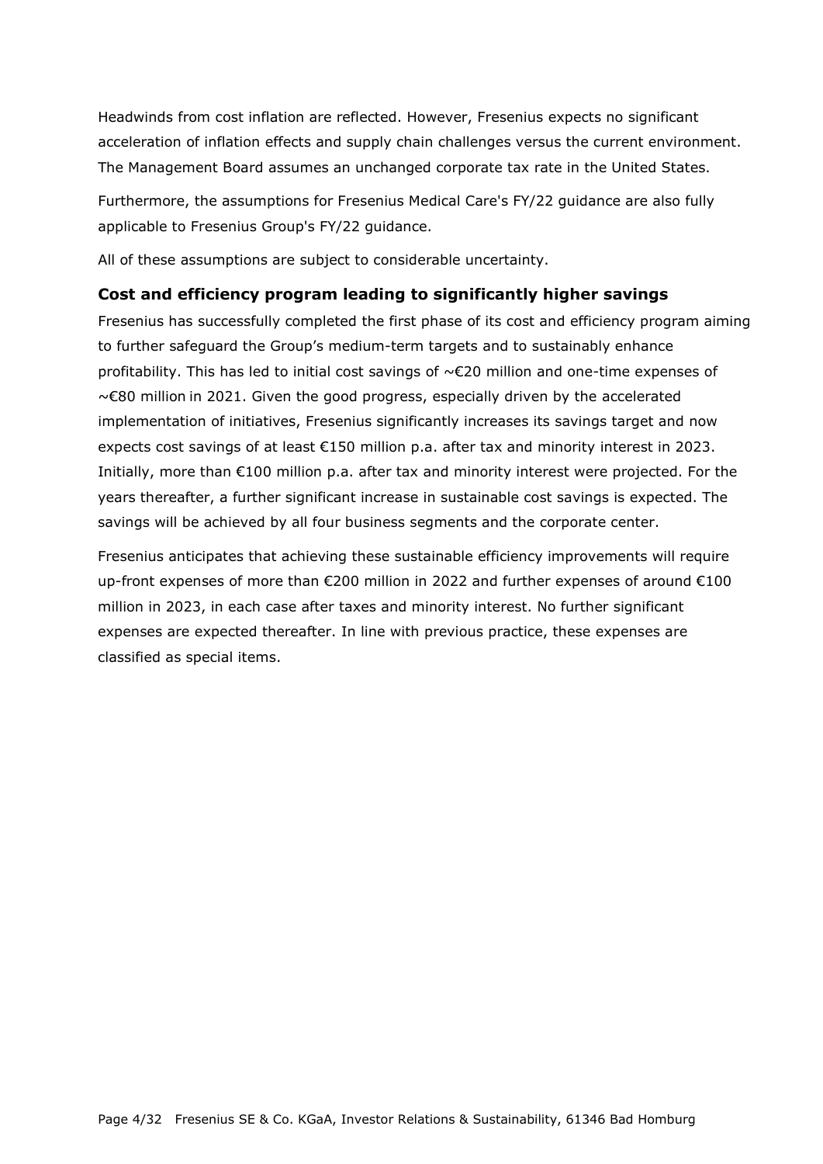Headwinds from cost inflation are reflected. However, Fresenius expects no significant acceleration of inflation effects and supply chain challenges versus the current environment. The Management Board assumes an unchanged corporate tax rate in the United States.

Furthermore, the assumptions for Fresenius Medical Care's FY/22 guidance are also fully applicable to Fresenius Group's FY/22 guidance.

All of these assumptions are subject to considerable uncertainty.

#### **Cost and efficiency program leading to significantly higher savings**

Fresenius has successfully completed the first phase of its cost and efficiency program aiming to further safeguard the Group's medium-term targets and to sustainably enhance profitability. This has led to initial cost savings of ~€20 million and one-time expenses of ~€80 million in 2021. Given the good progress, especially driven by the accelerated implementation of initiatives, Fresenius significantly increases its savings target and now expects cost savings of at least €150 million p.a. after tax and minority interest in 2023. Initially, more than €100 million p.a. after tax and minority interest were projected. For the years thereafter, a further significant increase in sustainable cost savings is expected. The savings will be achieved by all four business segments and the corporate center.

Fresenius anticipates that achieving these sustainable efficiency improvements will require up-front expenses of more than €200 million in 2022 and further expenses of around €100 million in 2023, in each case after taxes and minority interest. No further significant expenses are expected thereafter. In line with previous practice, these expenses are classified as special items.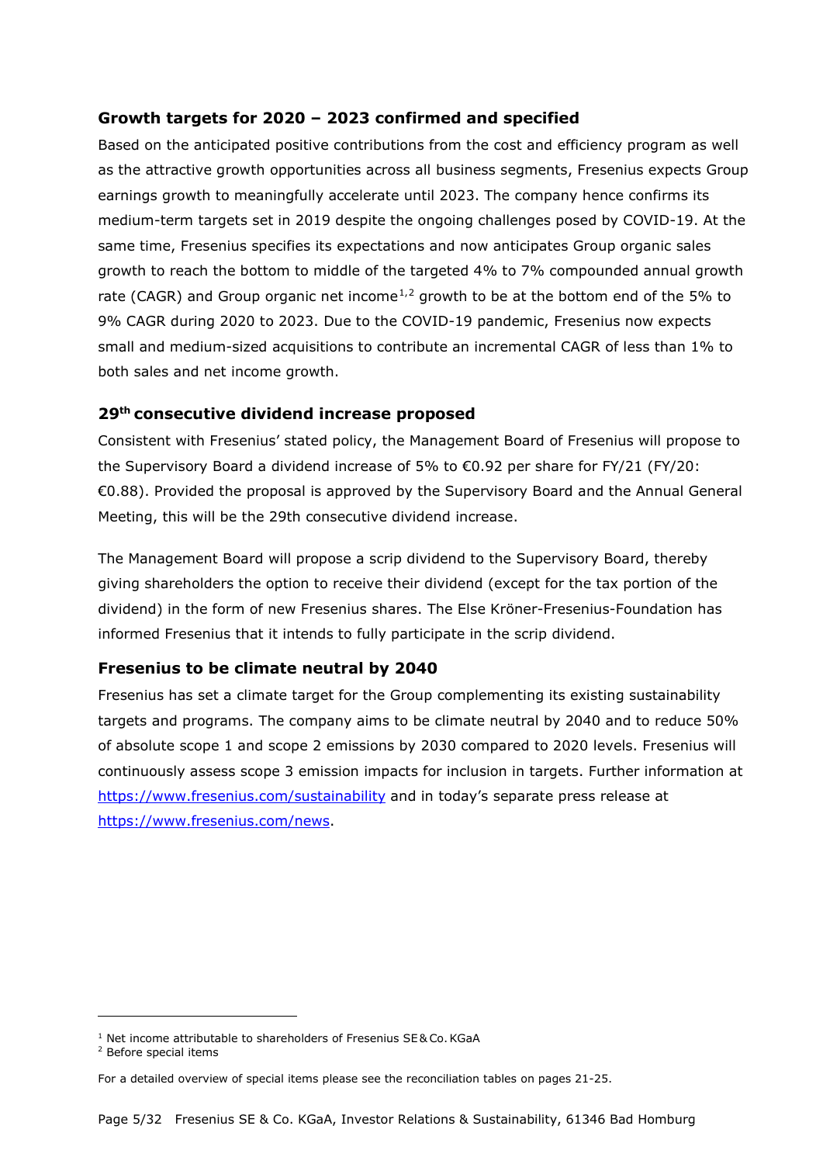### **Growth targets for 2020 – 2023 confirmed and specified**

Based on the anticipated positive contributions from the cost and efficiency program as well as the attractive growth opportunities across all business segments, Fresenius expects Group earnings growth to meaningfully accelerate until 2023. The company hence confirms its medium-term targets set in 2019 despite the ongoing challenges posed by COVID-19. At the same time, Fresenius specifies its expectations and now anticipates Group organic sales growth to reach the bottom to middle of the targeted 4% to 7% compounded annual growth rate (CAGR) and Group organic net income<sup>[1,](#page-4-0)[2](#page-4-1)</sup> growth to be at the bottom end of the 5% to 9% CAGR during 2020 to 2023. Due to the COVID-19 pandemic, Fresenius now expects small and medium-sized acquisitions to contribute an incremental CAGR of less than 1% to both sales and net income growth.

#### **29th consecutive dividend increase proposed**

Consistent with Fresenius' stated policy, the Management Board of Fresenius will propose to the Supervisory Board a dividend increase of 5% to €0.92 per share for FY/21 (FY/20: €0.88). Provided the proposal is approved by the Supervisory Board and the Annual General Meeting, this will be the 29th consecutive dividend increase.

The Management Board will propose a scrip dividend to the Supervisory Board, thereby giving shareholders the option to receive their dividend (except for the tax portion of the dividend) in the form of new Fresenius shares. The Else Kröner-Fresenius-Foundation has informed Fresenius that it intends to fully participate in the scrip dividend.

## **Fresenius to be climate neutral by 2040**

Fresenius has set a climate target for the Group complementing its existing sustainability targets and programs. The company aims to be climate neutral by 2040 and to reduce 50% of absolute scope 1 and scope 2 emissions by 2030 compared to 2020 levels. Fresenius will continuously assess scope 3 emission impacts for inclusion in targets. Further information at <https://www.fresenius.com/sustainability> and in today's separate press release at [https://www.fresenius.com/news.](https://www.fresenius.com/news)

<span id="page-4-0"></span><sup>&</sup>lt;sup>1</sup> Net income attributable to shareholders of Fresenius SE& Co. KGaA

<span id="page-4-1"></span><sup>2</sup> Before special items

For a detailed overview of special items please see the reconciliation tables on pages 21-25.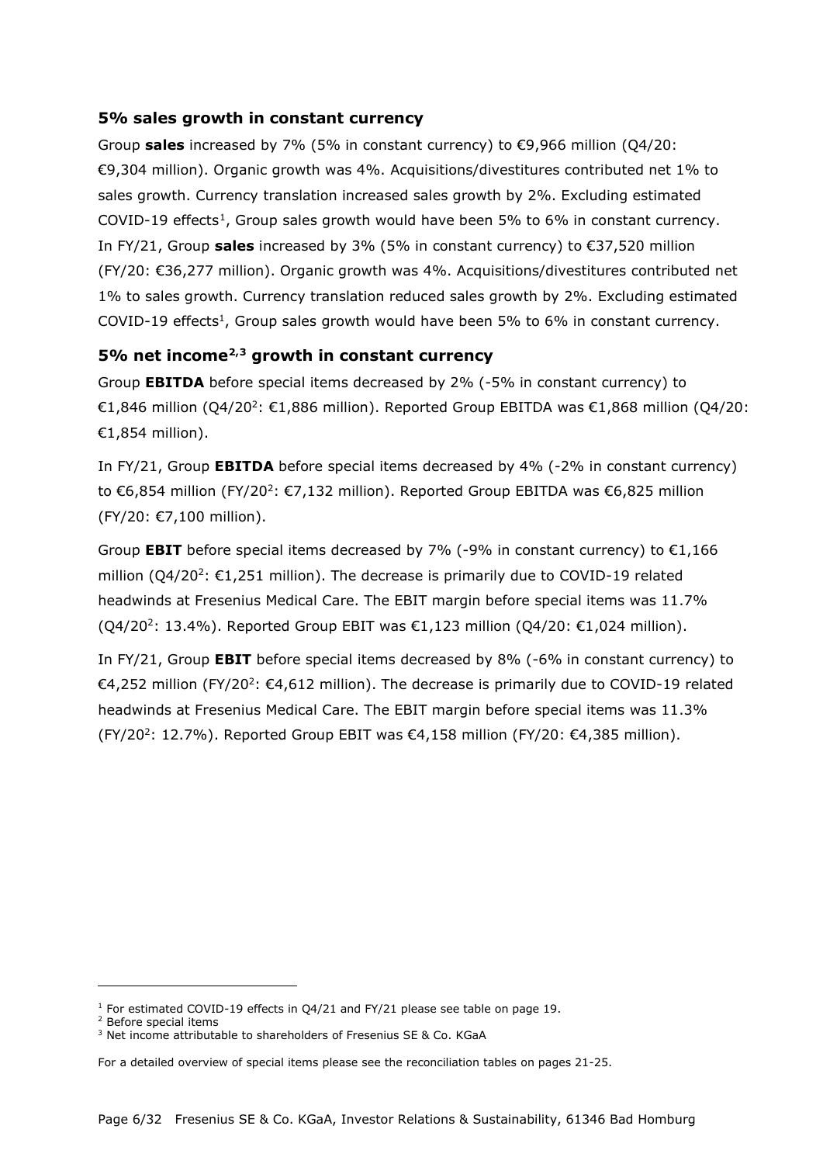#### **5% sales growth in constant currency**

Group **sales** increased by 7% (5% in constant currency) to €9,966 million (Q4/20: €9,304 million). Organic growth was 4%. Acquisitions/divestitures contributed net 1% to sales growth. Currency translation increased sales growth by 2%. Excluding estimated COVID-[1](#page-5-0)9 effects<sup>1</sup>, Group sales growth would have been 5% to 6% in constant currency. In FY/21, Group **sales** increased by 3% (5% in constant currency) to €37,520 million (FY/20: €36,277 million). Organic growth was 4%. Acquisitions/divestitures contributed net 1% to sales growth. Currency translation reduced sales growth by 2%. Excluding estimated COVID-19 effects<sup>1</sup>, Group sales growth would have been 5% to 6% in constant currency.

## **5% net incom[e2](#page-5-1),[3](#page-5-2) growth in constant currency**

Group **EBITDA** before special items decreased by 2% (-5% in constant currency) to  $€1,846$  million (O4/20<sup>2</sup>: €1,886 million). Reported Group EBITDA was  $€1,868$  million (O4/20: €1,854 million).

In FY/21, Group **EBITDA** before special items decreased by 4% (-2% in constant currency) to €6,854 million (FY/20<sup>2</sup>: €7,132 million). Reported Group EBITDA was €6,825 million (FY/20: €7,100 million).

Group **EBIT** before special items decreased by 7% (-9% in constant currency) to  $\epsilon$ 1,166 million  $(Q4/20^2: \text{\textsterling}1,251$  million). The decrease is primarily due to COVID-19 related headwinds at Fresenius Medical Care. The EBIT margin before special items was 11.7% (Q4/20<sup>2</sup>: 13.4%). Reported Group EBIT was €1,123 million (Q4/20: €1,024 million).

In FY/21, Group **EBIT** before special items decreased by 8% (-6% in constant currency) to €4,252 million (FY/20<sup>2</sup>: €4,612 million). The decrease is primarily due to COVID-19 related headwinds at Fresenius Medical Care. The EBIT margin before special items was 11.3% (FY/20<sup>2</sup>: 12.7%). Reported Group EBIT was  $\epsilon$ 4,158 million (FY/20:  $\epsilon$ 4,385 million).

<span id="page-5-0"></span> $1$  For estimated COVID-19 effects in O4/21 and FY/21 please see table on page 19.

<span id="page-5-1"></span><sup>2</sup> Before special items

<span id="page-5-2"></span><sup>&</sup>lt;sup>3</sup> Net income attributable to shareholders of Fresenius SE & Co. KGaA

For a detailed overview of special items please see the reconciliation tables on pages 21-25.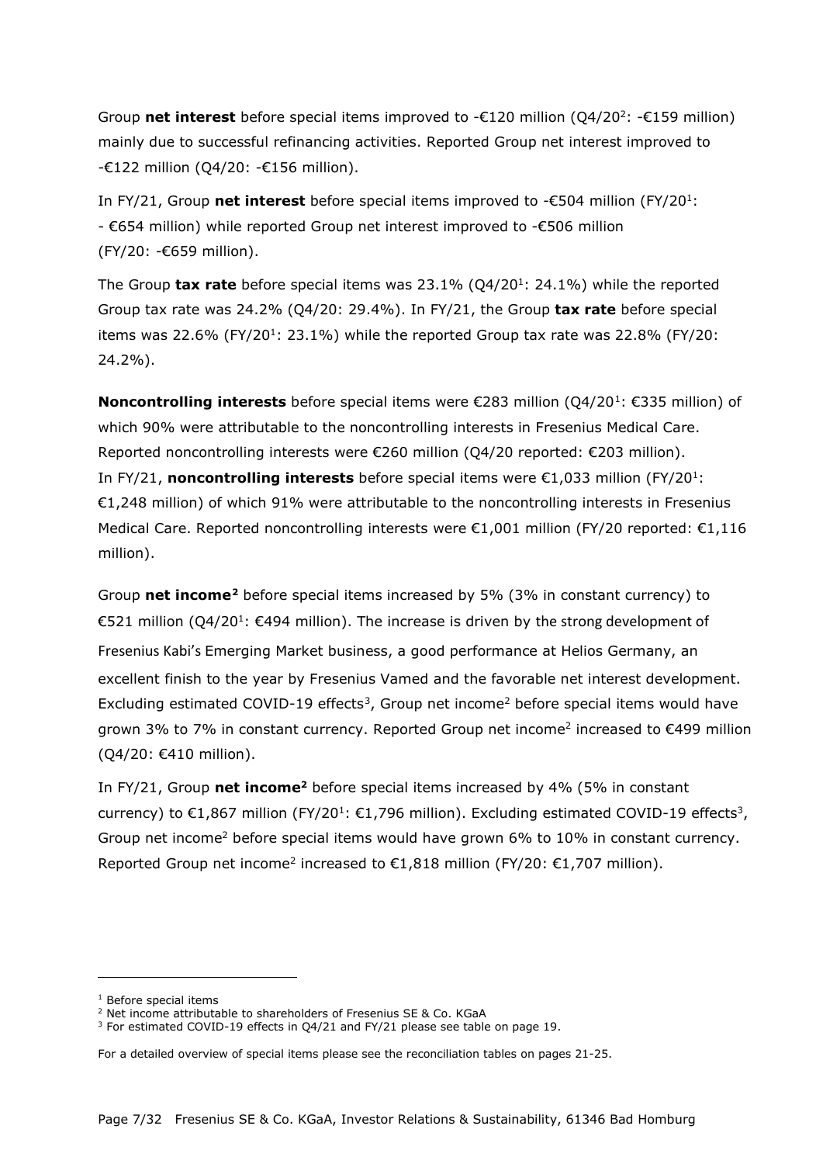Group **net interest** before special items improved to -€120 million (Q4/202: -€159 million) mainly due to successful refinancing activities. Reported Group net interest improved to -€122 million (Q4/20: -€156 million).

In FY/21, Group **net interest** before special items improved to -€504 million (FY/201: - €654 million) while reported Group net interest improved to -€506 million (FY/20: -€659 million).

The Group **tax rate** before special items was 23.1% (Q4/201: 24.1%) while the reported Group tax rate was 24.2% (Q4/20: 29.4%). In FY/21, the Group **tax rate** before special items was 22.6% (FY/20<sup>1</sup>: 23.1%) while the reported Group tax rate was 22.8% (FY/20: 24.2%).

**Noncontrolling interests** before special items were €283 million (Q4/20<sup>1</sup>: €335 million) of which 90% were attributable to the noncontrolling interests in Fresenius Medical Care. Reported noncontrolling interests were €260 million (Q4/20 reported: €203 million). In FY/21, **noncontrolling interests** before special items were €1,033 million (FY/201: €1,248 million) of which 91% were attributable to the noncontrolling interests in Fresenius Medical Care. Reported noncontrolling interests were €1,001 million (FY/20 reported: €1,116 million).

Group **net income[2](#page-6-1)** before special items increased by 5% (3% in constant currency) to €521 million (Q4/201: €494 million). The increase is driven by the strong development of Fresenius Kabi's Emerging Market business, a good performance at Helios Germany, an excellent finish to the year by Fresenius Vamed and the favorable net interest development. Excluding estimated COVID-19 effects<sup>3</sup>, Group net income<sup>2</sup> before special items would have grown 3% to 7% in constant currency. Reported Group net income<sup>2</sup> increased to  $\epsilon$ 499 million (Q4/20: €410 million).

In FY/21, Group **net income2** before special items increased by 4% (5% in constant currency) to €1,867 million (FY/20<sup>1</sup>: €1,796 million). Excluding estimated COVID-19 effects<sup>3</sup>, Group net income<sup>2</sup> before special items would have grown 6% to 10% in constant currency. Reported Group net income<sup>2</sup> increased to €1,818 million (FY/20: €1,707 million).

<span id="page-6-0"></span><sup>&</sup>lt;sup>1</sup> Before special items

<span id="page-6-1"></span><sup>2</sup> Net income attributable to shareholders of Fresenius SE & Co. KGaA

<span id="page-6-2"></span><sup>&</sup>lt;sup>3</sup> For estimated COVID-19 effects in Q4/21 and FY/21 please see table on page 19.

For a detailed overview of special items please see the reconciliation tables on pages 21-25.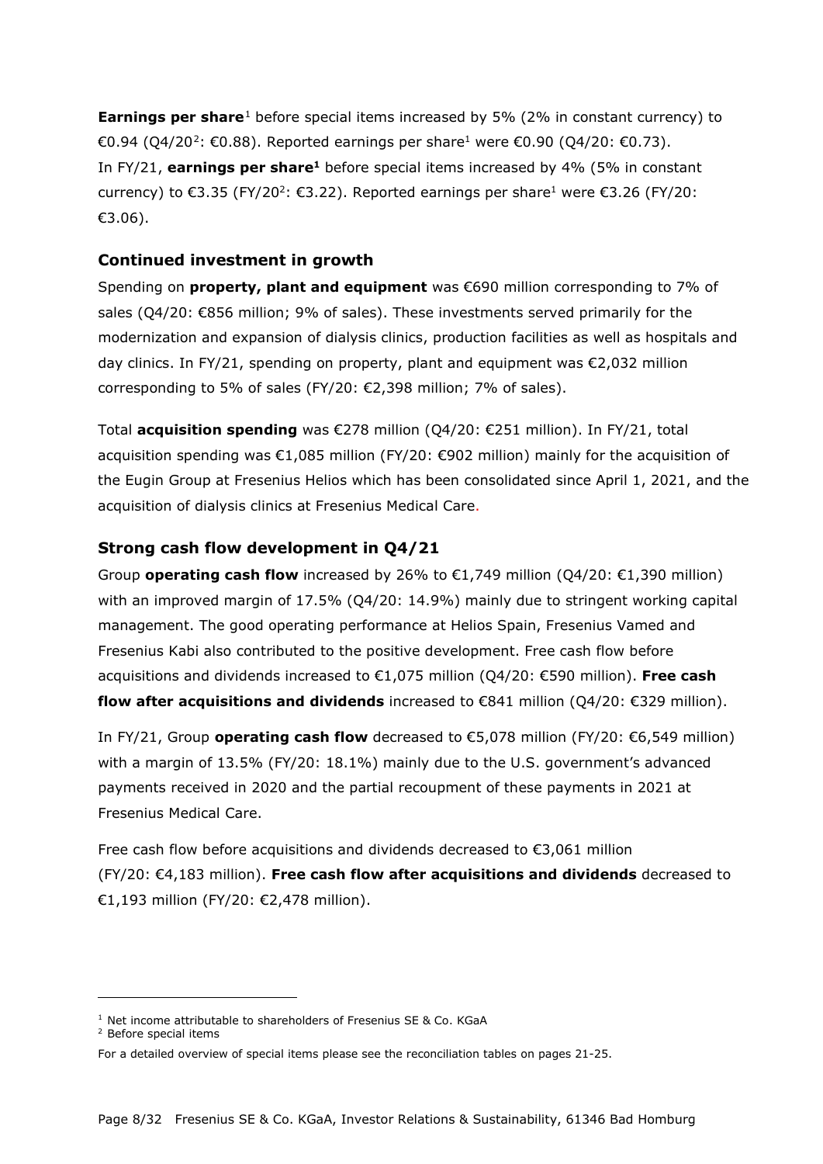**Earnings per share**<sup>[1](#page-7-0)</sup> before special items increased by 5% (2% in constant currency) to €0.94 (Q4/[2](#page-7-1)0<sup>2</sup>: €0.88). Reported earnings per share<sup>1</sup> were €0.90 (Q4/20: €0.73). In FY/21, **earnings per share1** before special items increased by 4% (5% in constant currency) to  $\epsilon$ 3.35 (FY/20<sup>2</sup>:  $\epsilon$ 3.22). Reported earnings per share<sup>1</sup> were  $\epsilon$ 3.26 (FY/20: €3.06).

#### **Continued investment in growth**

Spending on **property, plant and equipment** was €690 million corresponding to 7% of sales (Q4/20: €856 million; 9% of sales). These investments served primarily for the modernization and expansion of dialysis clinics, production facilities as well as hospitals and day clinics. In FY/21, spending on property, plant and equipment was €2,032 million corresponding to 5% of sales (FY/20:  $\epsilon$ 2.398 million: 7% of sales).

Total **acquisition spending** was €278 million (Q4/20: €251 million). In FY/21, total acquisition spending was €1,085 million (FY/20: €902 million) mainly for the acquisition of the Eugin Group at Fresenius Helios which has been consolidated since April 1, 2021, and the acquisition of dialysis clinics at Fresenius Medical Care.

#### **Strong cash flow development in Q4/21**

Group **operating cash flow** increased by 26% to  $\epsilon$ 1,749 million (Q4/20:  $\epsilon$ 1,390 million) with an improved margin of 17.5% (Q4/20: 14.9%) mainly due to stringent working capital management. The good operating performance at Helios Spain, Fresenius Vamed and Fresenius Kabi also contributed to the positive development. Free cash flow before acquisitions and dividends increased to €1,075 million (Q4/20: €590 million). **Free cash flow after acquisitions and dividends** increased to €841 million (Q4/20: €329 million).

In FY/21, Group **operating cash flow** decreased to €5,078 million (FY/20: €6,549 million) with a margin of 13.5% (FY/20: 18.1%) mainly due to the U.S. government's advanced payments received in 2020 and the partial recoupment of these payments in 2021 at Fresenius Medical Care.

Free cash flow before acquisitions and dividends decreased to €3,061 million (FY/20: €4,183 million). **Free cash flow after acquisitions and dividends** decreased to €1,193 million (FY/20: €2,478 million).

<span id="page-7-0"></span><sup>&</sup>lt;sup>1</sup> Net income attributable to shareholders of Fresenius SE & Co. KGaA

<span id="page-7-1"></span><sup>2</sup> Before special items

For a detailed overview of special items please see the reconciliation tables on pages 21-25.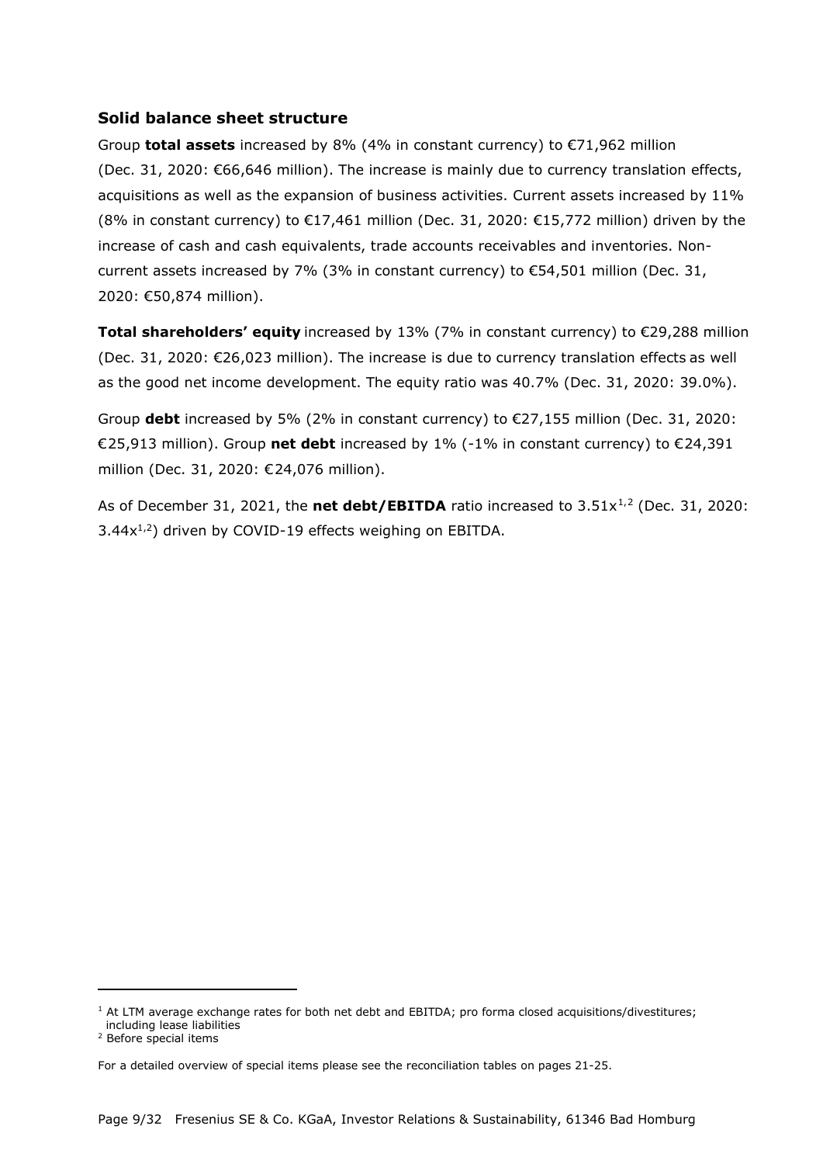#### **Solid balance sheet structure**

Group **total assets** increased by 8% (4% in constant currency) to €71,962 million (Dec. 31, 2020: €66,646 million). The increase is mainly due to currency translation effects, acquisitions as well as the expansion of business activities. Current assets increased by 11% (8% in constant currency) to  $\epsilon$ 17,461 million (Dec. 31, 2020:  $\epsilon$ 15,772 million) driven by the increase of cash and cash equivalents, trade accounts receivables and inventories. Noncurrent assets increased by 7% (3% in constant currency) to  $\epsilon$ 54,501 million (Dec. 31, 2020: €50,874 million).

**Total shareholders' equity** increased by 13% (7% in constant currency) to €29,288 million (Dec. 31, 2020: €26,023 million). The increase is due to currency translation effects as well as the good net income development. The equity ratio was 40.7% (Dec. 31, 2020: 39.0%).

Group **debt** increased by 5% (2% in constant currency) to €27,155 million (Dec. 31, 2020: €25,913 million). Group **net debt** increased by 1% (-1% in constant currency) to €24,391 million (Dec. 31, 2020: €24,076 million).

As of December 3[1](#page-8-0), [2](#page-8-1)021, the **net debt/EBITDA** ratio increased to 3.51x<sup>1,2</sup> (Dec. 31, 2020:  $3.44x^{1,2}$ ) driven by COVID-19 effects weighing on EBITDA.

<span id="page-8-0"></span> $1$  At LTM average exchange rates for both net debt and EBITDA; pro forma closed acquisitions/divestitures; including lease liabilities

<span id="page-8-1"></span><sup>2</sup> Before special items

For a detailed overview of special items please see the reconciliation tables on pages 21-25.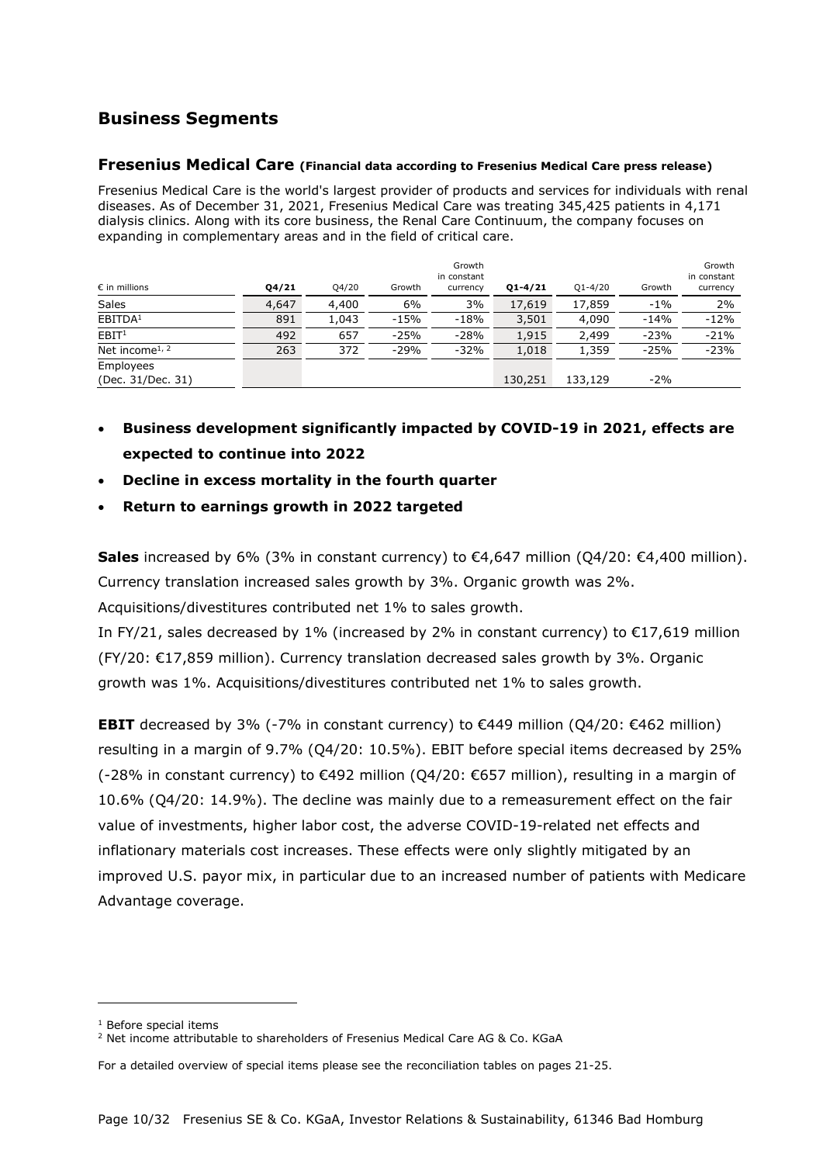# **Business Segments**

#### **Fresenius Medical Care (Financial data according to Fresenius Medical Care press release)**

Fresenius Medical Care is the world's largest provider of products and services for individuals with renal diseases. As of December 31, 2021, Fresenius Medical Care was treating 345,425 patients in 4,171 dialysis clinics. Along with its core business, the Renal Care Continuum, the company focuses on expanding in complementary areas and in the field of critical care.

| $\epsilon$ in millions         | 04/21 | Q4/20 | Growth | Growth<br>in constant<br>currency | $Q1 - 4/21$ | $Q1 - 4/20$ | Growth | Growth<br>in constant<br>currency |
|--------------------------------|-------|-------|--------|-----------------------------------|-------------|-------------|--------|-----------------------------------|
| Sales                          | 4,647 | 4,400 | 6%     | 3%                                | 17,619      | 17,859      | $-1%$  | 2%                                |
| EBITDA <sup>1</sup>            | 891   | 1,043 | $-15%$ | $-18%$                            | 3,501       | 4,090       | $-14%$ | $-12%$                            |
| EBIT <sup>1</sup>              | 492   | 657   | $-25%$ | $-28%$                            | 1,915       | 2,499       | $-23%$ | $-21%$                            |
| Net income <sup>1, 2</sup>     | 263   | 372   | $-29%$ | $-32%$                            | 1,018       | 1,359       | $-25%$ | $-23%$                            |
| Employees<br>(Dec. 31/Dec. 31) |       |       |        |                                   | 130,251     | 133,129     | $-2%$  |                                   |

- **Business development significantly impacted by COVID-19 in 2021, effects are expected to continue into 2022**
- **Decline in excess mortality in the fourth quarter**
- **Return to earnings growth in 2022 targeted**

**Sales** increased by 6% (3% in constant currency) to €4,647 million (Q4/20: €4,400 million). Currency translation increased sales growth by 3%. Organic growth was 2%.

Acquisitions/divestitures contributed net 1% to sales growth.

In FY/21, sales decreased by 1% (increased by 2% in constant currency) to  $\epsilon$ 17,619 million (FY/20: €17,859 million). Currency translation decreased sales growth by 3%. Organic growth was 1%. Acquisitions/divestitures contributed net 1% to sales growth.

**EBIT** decreased by 3% (-7% in constant currency) to €449 million (Q4/20: €462 million) resulting in a margin of 9.7% (Q4/20: 10.5%). EBIT before special items decreased by 25% (-28% in constant currency) to €492 million (Q4/20: €657 million), resulting in a margin of 10.6% (Q4/20: 14.9%). The decline was mainly due to a remeasurement effect on the fair value of investments, higher labor cost, the adverse COVID-19-related net effects and inflationary materials cost increases. These effects were only slightly mitigated by an improved U.S. payor mix, in particular due to an increased number of patients with Medicare Advantage coverage.

<sup>1</sup> Before special items

<span id="page-9-1"></span><span id="page-9-0"></span><sup>&</sup>lt;sup>2</sup> Net income attributable to shareholders of Fresenius Medical Care AG & Co. KGaA

For a detailed overview of special items please see the reconciliation tables on pages 21-25.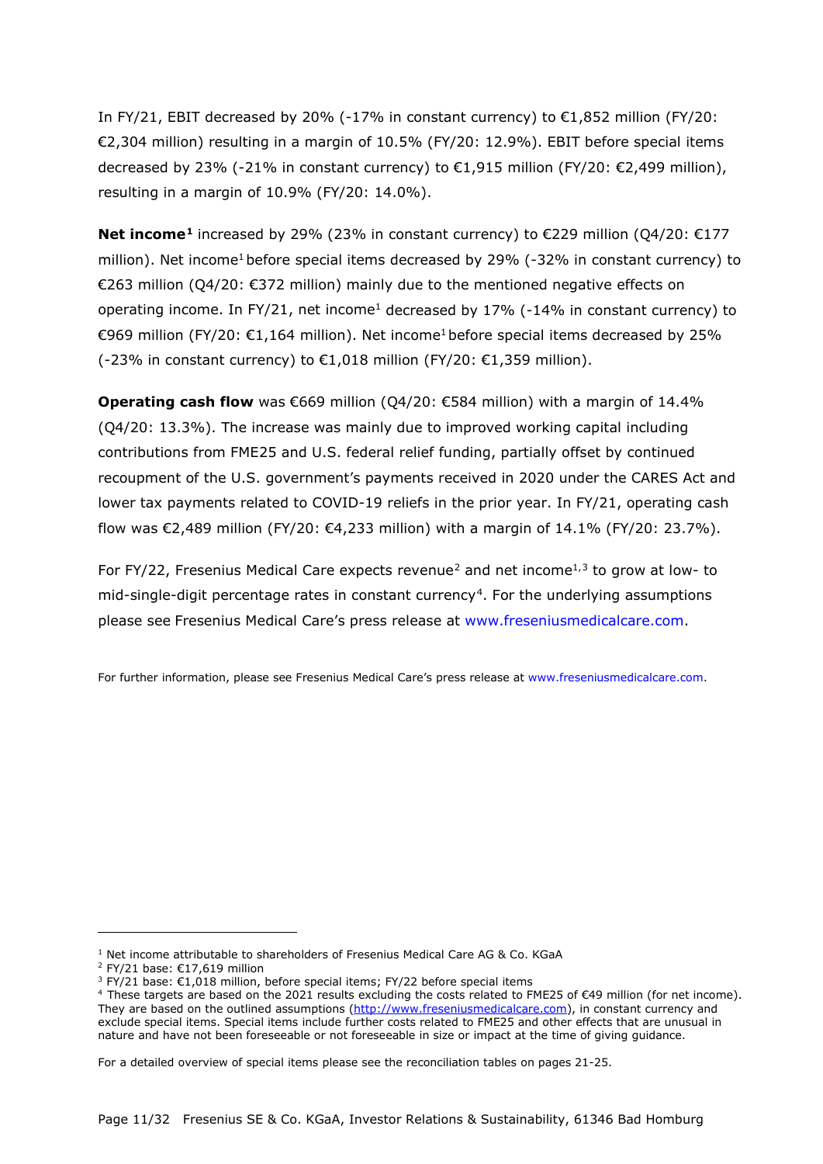In FY/21, EBIT decreased by 20% (-17% in constant currency) to  $\epsilon$ 1,852 million (FY/20: €2,304 million) resulting in a margin of 10.5% (FY/20: 12.9%). EBIT before special items decreased by 23% (-21% in constant currency) to €1,915 million (FY/20: €2,499 million), resulting in a margin of 10.9% (FY/20: 14.0%).

**Net income[1](#page-10-0)** increased by 29% (23% in constant currency) to €229 million (Q4/20: €177 million). Net income<sup>1</sup> before special items decreased by 29%  $(-32%$  in constant currency) to €263 million (Q4/20: €372 million) mainly due to the mentioned negative effects on operating income. In FY/21, net income<sup>1</sup> decreased by 17% (-14% in constant currency) to €969 million (FY/20: €1,164 million). Net income<sup>1</sup> before special items decreased by 25% (-23% in constant currency) to  $\epsilon$ 1,018 million (FY/20:  $\epsilon$ 1,359 million).

**Operating cash flow** was €669 million (Q4/20: €584 million) with a margin of 14.4% (Q4/20: 13.3%). The increase was mainly due to improved working capital including contributions from FME25 and U.S. federal relief funding, partially offset by continued recoupment of the U.S. government's payments received in 2020 under the CARES Act and lower tax payments related to COVID-19 reliefs in the prior year. In FY/21, operating cash flow was €2,489 million (FY/20: €4,233 million) with a margin of 14.1% (FY/20: 23.7%).

For FY/[2](#page-10-1)2, Fresenius Medical Care expects revenue<sup>2</sup> and net income<sup>1,[3](#page-10-2)</sup> to grow at low- to mid-single-digit percentage rates in constant currency<sup>[4](#page-10-3)</sup>. For the underlying assumptions please see Fresenius Medical Care's press release at [www.freseniusmedicalcare.com.](http://www.freseniusmedicalcare.com/)

For further information, please see Fresenius Medical Care's press release at [www.freseniusmedicalcare.com.](http://www.freseniusmedicalcare.com/)

<span id="page-10-0"></span> $1$  Net income attributable to shareholders of Fresenius Medical Care AG & Co. KGaA

<span id="page-10-1"></span><sup>2</sup> FY/21 base: €17,619 million

 $3$  FY/21 base:  $€1,018$  million, before special items; FY/22 before special items

<span id="page-10-3"></span><span id="page-10-2"></span><sup>4</sup> These targets are based on the 2021 results excluding the costs related to FME25 of €49 million (for net income). They are based on the outlined assumptions [\(http://www.freseniusmedicalcare.com\)](http://www.freseniusmedicalcare.com/), in constant currency and exclude special items. Special items include further costs related to FME25 and other effects that are unusual in nature and have not been foreseeable or not foreseeable in size or impact at the time of giving guidance.

For a detailed overview of special items please see the reconciliation tables on pages 21-25.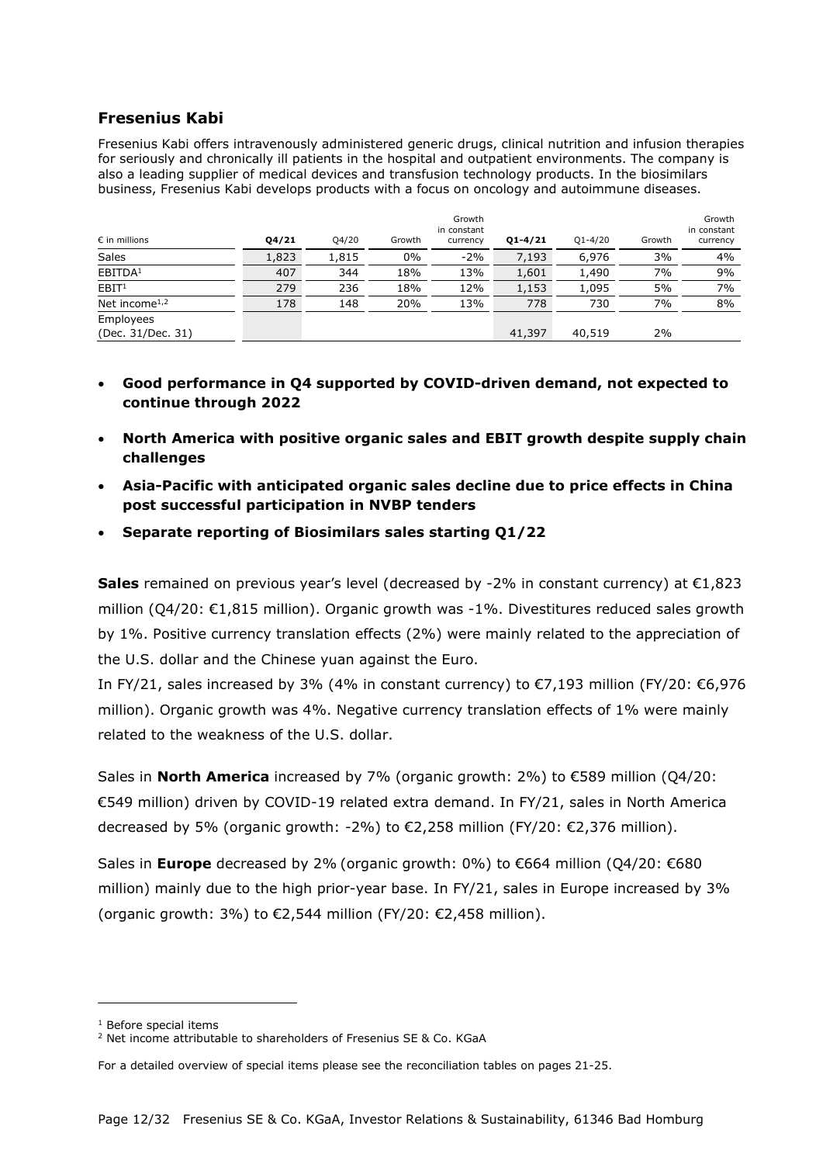#### **Fresenius Kabi**

Fresenius Kabi offers intravenously administered generic drugs, clinical nutrition and infusion therapies for seriously and chronically ill patients in the hospital and outpatient environments. The company is also a leading supplier of medical devices and transfusion technology products. In the biosimilars business, Fresenius Kabi develops products with a focus on oncology and autoimmune diseases.

| $\epsilon$ in millions                 | Q4/21 | Q4/20 | Growth | Growth<br>in constant<br>currency | $Q1 - 4/21$ | $Q1 - 4/20$ | Growth | Growth<br>in constant<br>currency |
|----------------------------------------|-------|-------|--------|-----------------------------------|-------------|-------------|--------|-----------------------------------|
| Sales                                  | 1,823 | 1,815 | $0\%$  | $-2%$                             | 7,193       | 6,976       | 3%     | 4%                                |
| EBITDA <sup>1</sup>                    | 407   | 344   | 18%    | 13%                               | 1,601       | 1,490       | 7%     | 9%                                |
| EBIT <sup>1</sup>                      | 279   | 236   | 18%    | 12%                               | 1,153       | 1,095       | 5%     | 7%                                |
| Net income <sup><math>1,2</math></sup> | 178   | 148   | 20%    | 13%                               | 778         | 730         | 7%     | 8%                                |
| Employees<br>(Dec. 31/Dec. 31)         |       |       |        |                                   | 41,397      | 40,519      | 2%     |                                   |

- **Good performance in Q4 supported by COVID-driven demand, not expected to continue through 2022**
- **North America with positive organic sales and EBIT growth despite supply chain challenges**
- **Asia-Pacific with anticipated organic sales decline due to price effects in China post successful participation in NVBP tenders**
- **Separate reporting of Biosimilars sales starting Q1/22**

**Sales** remained on previous year's level (decreased by -2% in constant currency) at €1,823 million (Q4/20: €1,815 million). Organic growth was -1%. Divestitures reduced sales growth by 1%. Positive currency translation effects (2%) were mainly related to the appreciation of the U.S. dollar and the Chinese yuan against the Euro.

In FY/21, sales increased by 3% (4% in constant currency) to  $\epsilon$ 7,193 million (FY/20:  $\epsilon$ 6,976 million). Organic growth was 4%. Negative currency translation effects of 1% were mainly related to the weakness of the U.S. dollar.

Sales in **North America** increased by 7% (organic growth: 2%) to €589 million (Q4/20: €549 million) driven by COVID-19 related extra demand. In FY/21, sales in North America decreased by 5% (organic growth: -2%) to €2,258 million (FY/20: €2,376 million).

Sales in **Europe** decreased by 2% (organic growth: 0%) to €664 million (Q4/20: €680 million) mainly due to the high prior-year base. In FY/21, sales in Europe increased by 3% (organic growth: 3%) to  $\epsilon$ 2,544 million (FY/20:  $\epsilon$ 2,458 million).

<sup>1</sup> Before special items

<span id="page-11-1"></span><span id="page-11-0"></span><sup>&</sup>lt;sup>2</sup> Net income attributable to shareholders of Fresenius SE & Co. KGaA

For a detailed overview of special items please see the reconciliation tables on pages 21-25.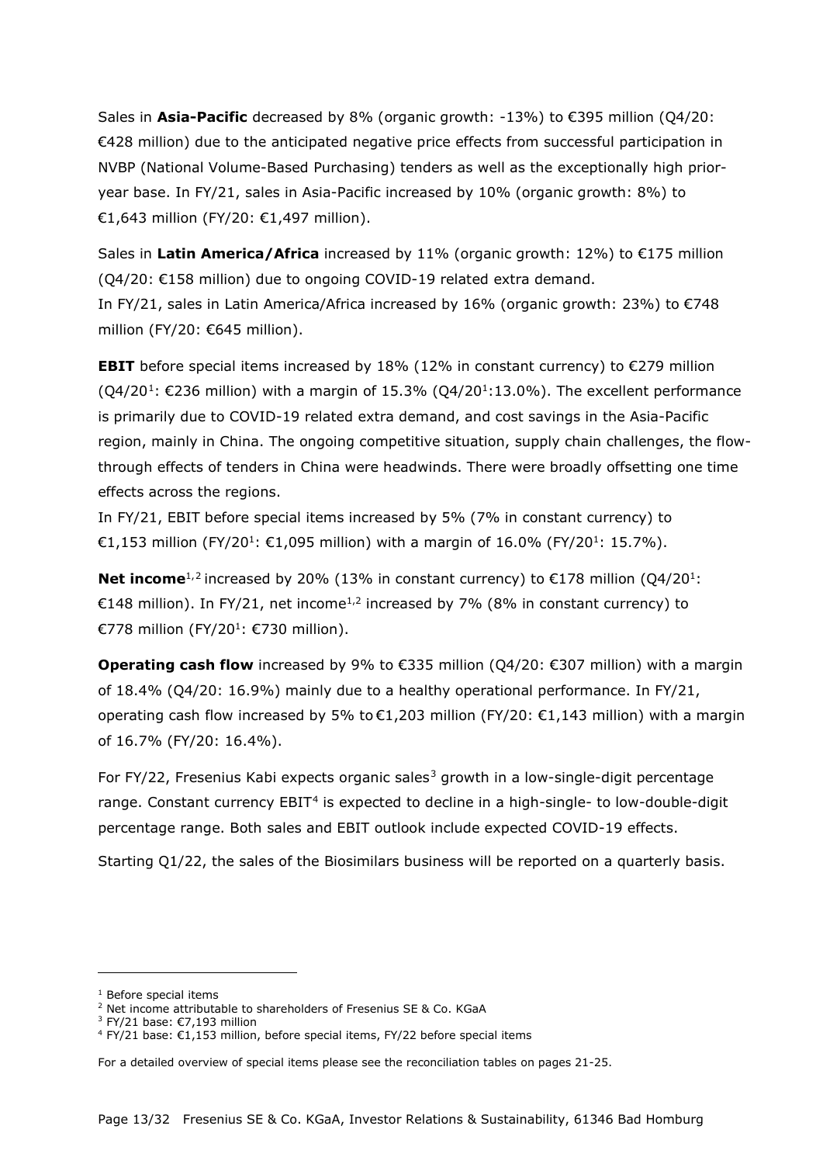Sales in **Asia-Pacific** decreased by 8% (organic growth: -13%) to €395 million (Q4/20: €428 million) due to the anticipated negative price effects from successful participation in NVBP (National Volume-Based Purchasing) tenders as well as the exceptionally high prioryear base. In FY/21, sales in Asia-Pacific increased by 10% (organic growth: 8%) to €1,643 million (FY/20: €1,497 million).

Sales in **Latin America/Africa** increased by 11% (organic growth: 12%) to €175 million (Q4/20: €158 million) due to ongoing COVID-19 related extra demand. In FY/21, sales in Latin America/Africa increased by 16% (organic growth: 23%) to €748 million (FY/20: €645 million).

**EBIT** before special items increased by  $18\%$  ( $12\%$  in constant currency) to  $\epsilon$ 279 million  $(Q4/20^1: \text{\textsterling}236$  $(Q4/20^1: \text{\textsterling}236$  $(Q4/20^1: \text{\textsterling}236$  million) with a margin of 15.3%  $(Q4/20^1:13.0\%)$ . The excellent performance is primarily due to COVID-19 related extra demand, and cost savings in the Asia-Pacific region, mainly in China. The ongoing competitive situation, supply chain challenges, the flowthrough effects of tenders in China were headwinds. There were broadly offsetting one time effects across the regions.

In FY/21, EBIT before special items increased by 5% (7% in constant currency) to €1,153 million (FY/20<sup>1</sup>: €1,095 million) with a margin of 16.0% (FY/20<sup>1</sup>: 15.7%).

**Net income**<sup>1,[2](#page-12-1)</sup> increased by 20% (13% in constant currency) to €178 million (Q4/20<sup>1</sup>: €148 million). In FY/21, net income<sup>1,2</sup> increased by 7% (8% in constant currency) to €778 million (FY/20<sup>1</sup>: €730 million).

**Operating cash flow** increased by 9% to €335 million (Q4/20: €307 million) with a margin of 18.4% (Q4/20: 16.9%) mainly due to a healthy operational performance. In FY/21, operating cash flow increased by 5% to  $\epsilon$ 1,203 million (FY/20:  $\epsilon$ 1,143 million) with a margin of 16.7% (FY/20: 16.4%).

For FY/22, Fresenius Kabi expects organic sales<sup>[3](#page-12-2)</sup> growth in a low-single-digit percentage range. Constant currency EBIT<sup>[4](#page-12-3)</sup> is expected to decline in a high-single- to low-double-digit percentage range. Both sales and EBIT outlook include expected COVID-19 effects.

Starting Q1/22, the sales of the Biosimilars business will be reported on a quarterly basis.

<sup>&</sup>lt;sup>1</sup> Before special items

<span id="page-12-1"></span><span id="page-12-0"></span><sup>&</sup>lt;sup>2</sup> Net income attributable to shareholders of Fresenius SE & Co. KGaA

<sup>3</sup> FY/21 base: €7,193 million

<span id="page-12-3"></span><span id="page-12-2"></span><sup>4</sup> FY/21 base: €1,153 million, before special items, FY/22 before special items

For a detailed overview of special items please see the reconciliation tables on pages 21-25.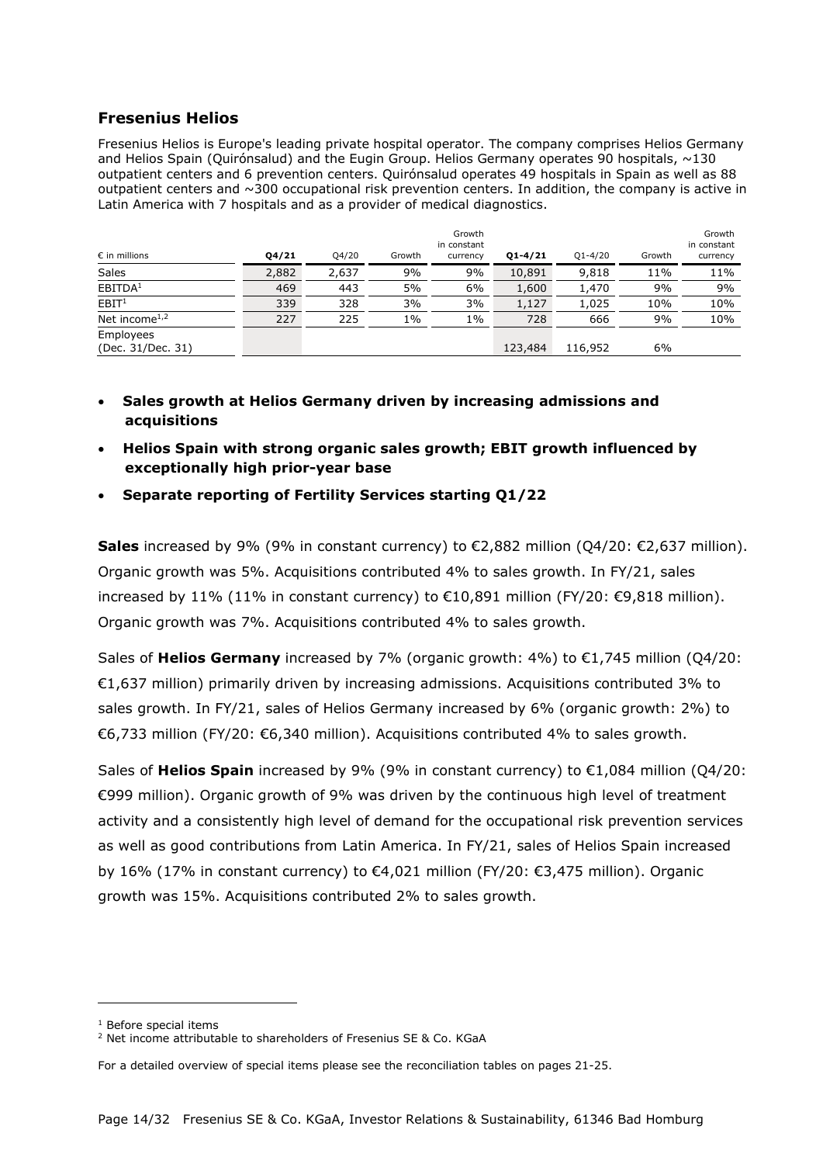#### **Fresenius Helios**

Fresenius Helios is Europe's leading private hospital operator. The company comprises Helios Germany and Helios Spain (Quirónsalud) and the Eugin Group. Helios Germany operates 90 hospitals, ~130 outpatient centers and 6 prevention centers. Quirónsalud operates 49 hospitals in Spain as well as 88 outpatient centers and ~300 occupational risk prevention centers. In addition, the company is active in Latin America with 7 hospitals and as a provider of medical diagnostics.

| $\epsilon$ in millions                 | $Q_{4}/21$ | Q4/20 | Growth | Growth<br>in constant<br>currency | $Q1 - 4/21$ | $Q1 - 4/20$ | Growth | Growth<br>in constant<br>currency |
|----------------------------------------|------------|-------|--------|-----------------------------------|-------------|-------------|--------|-----------------------------------|
| <b>Sales</b>                           | 2,882      | 2,637 | 9%     | 9%                                | 10,891      | 9,818       | 11%    | 11%                               |
| EBITDA <sup>1</sup>                    | 469        | 443   | 5%     | 6%                                | 1,600       | 1,470       | 9%     | 9%                                |
| EBIT <sup>1</sup>                      | 339        | 328   | 3%     | 3%                                | 1,127       | 1,025       | 10%    | 10%                               |
| Net income <sup><math>1,2</math></sup> | 227        | 225   | $1\%$  | $1\%$                             | 728         | 666         | 9%     | 10%                               |
| Employees<br>(Dec. 31/Dec. 31)         |            |       |        |                                   | 123,484     | 116,952     | 6%     |                                   |

- **Sales growth at Helios Germany driven by increasing admissions and acquisitions**
- **Helios Spain with strong organic sales growth; EBIT growth influenced by exceptionally high prior-year base**
- **Separate reporting of Fertility Services starting Q1/22**

**Sales** increased by 9% (9% in constant currency) to €2,882 million (Q4/20: €2,637 million). Organic growth was 5%. Acquisitions contributed 4% to sales growth. In FY/21, sales increased by 11% (11% in constant currency) to €10,891 million (FY/20: €9,818 million). Organic growth was 7%. Acquisitions contributed 4% to sales growth.

Sales of **Helios Germany** increased by 7% (organic growth: 4%) to €1,745 million (Q4/20: €1,637 million) primarily driven by increasing admissions. Acquisitions contributed 3% to sales growth. In FY/21, sales of Helios Germany increased by 6% (organic growth: 2%) to €6,733 million (FY/20: €6,340 million). Acquisitions contributed 4% to sales growth.

Sales of **Helios Spain** increased by 9% (9% in constant currency) to €1,084 million (Q4/20: €999 million). Organic growth of 9% was driven by the continuous high level of treatment activity and a consistently high level of demand for the occupational risk prevention services as well as good contributions from Latin America. In FY/21, sales of Helios Spain increased by 16% (17% in constant currency) to €4,021 million (FY/20: €3,475 million). Organic growth was 15%. Acquisitions contributed 2% to sales growth.

<sup>1</sup> Before special items

<span id="page-13-1"></span><span id="page-13-0"></span><sup>&</sup>lt;sup>2</sup> Net income attributable to shareholders of Fresenius SE & Co. KGaA

For a detailed overview of special items please see the reconciliation tables on pages 21-25.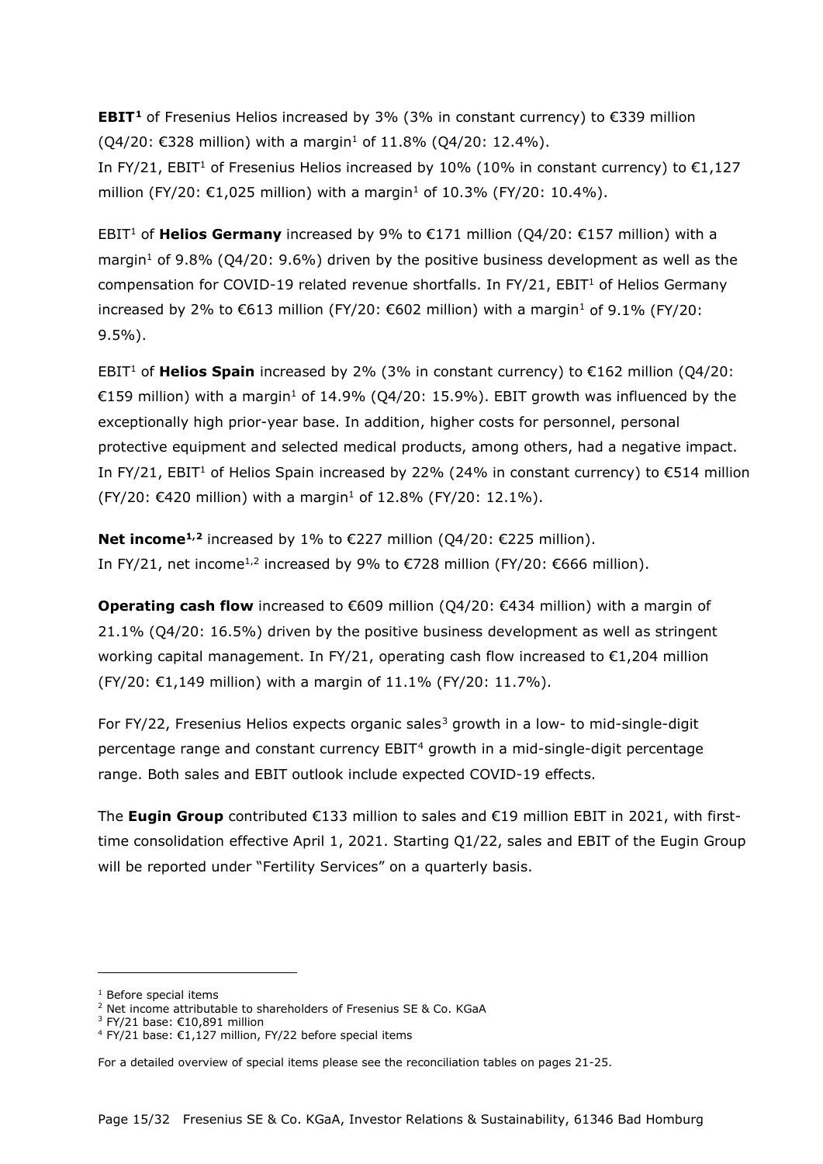**EBIT[1](#page-14-0)** of Fresenius Helios increased by 3% (3% in constant currency) to €339 million  $(Q4/20: €328$  million) with a margin<sup>1</sup> of 11.8%  $(Q4/20: 12.4%)$ .

In FY/21, EBIT<sup>1</sup> of Fresenius Helios increased by 10% (10% in constant currency) to  $\epsilon$ 1,127 million (FY/20: €1,025 million) with a margin<sup>1</sup> of 10.3% (FY/20: 10.4%).

EBIT<sup>1</sup> of **Helios Germany** increased by 9% to €171 million (Q4/20: €157 million) with a margin<sup>1</sup> of 9.8% (Q4/20: 9.6%) driven by the positive business development as well as the compensation for COVID-19 related revenue shortfalls. In FY/21,  $EBIT<sup>1</sup>$  of Helios Germany increased by 2% to €613 million (FY/20: €602 million) with a margin<sup>1</sup> of 9.1% (FY/20: 9.5%).

EBIT<sup>1</sup> of **Helios Spain** increased by 2% (3% in constant currency) to  $\epsilon$ 162 million (O4/20: €159 million) with a margin<sup>1</sup> of 14.9% (Q4/20: 15.9%). EBIT growth was influenced by the exceptionally high prior-year base. In addition, higher costs for personnel, personal protective equipment and selected medical products, among others, had a negative impact. In FY/21, EBIT<sup>1</sup> of Helios Spain increased by 22% (24% in constant currency) to  $\epsilon$ 514 million  $(FY/20: €420$  million) with a margin<sup>1</sup> of 12.8% (FY/20: 12.1%).

**Net income<sup>1,[2](#page-14-1)</sup>** increased by 1% to €227 million (Q4/20: €225 million). In FY/21, net income<sup>1,2</sup> increased by 9% to €728 million (FY/20: €666 million).

**Operating cash flow** increased to €609 million (Q4/20: €434 million) with a margin of 21.1% (Q4/20: 16.5%) driven by the positive business development as well as stringent working capital management. In FY/21, operating cash flow increased to  $\epsilon$ 1,204 million (FY/20: €1,149 million) with a margin of 11.1% (FY/20: 11.7%).

For FY/22, Fresenius Helios expects organic sales<sup>[3](#page-14-2)</sup> growth in a low- to mid-single-digit percentage range and constant currency EBIT[4](#page-14-3) growth in a mid-single-digit percentage range. Both sales and EBIT outlook include expected COVID-19 effects.

The **Eugin Group** contributed €133 million to sales and €19 million EBIT in 2021, with firsttime consolidation effective April 1, 2021. Starting Q1/22, sales and EBIT of the Eugin Group will be reported under "Fertility Services" on a quarterly basis.

 $<sup>1</sup>$  Before special items</sup>

<span id="page-14-1"></span><span id="page-14-0"></span><sup>&</sup>lt;sup>2</sup> Net income attributable to shareholders of Fresenius SE & Co. KGaA

<sup>3</sup> FY/21 base: €10,891 million

<span id="page-14-3"></span><span id="page-14-2"></span><sup>4</sup> FY/21 base: €1,127 million, FY/22 before special items

For a detailed overview of special items please see the reconciliation tables on pages 21-25.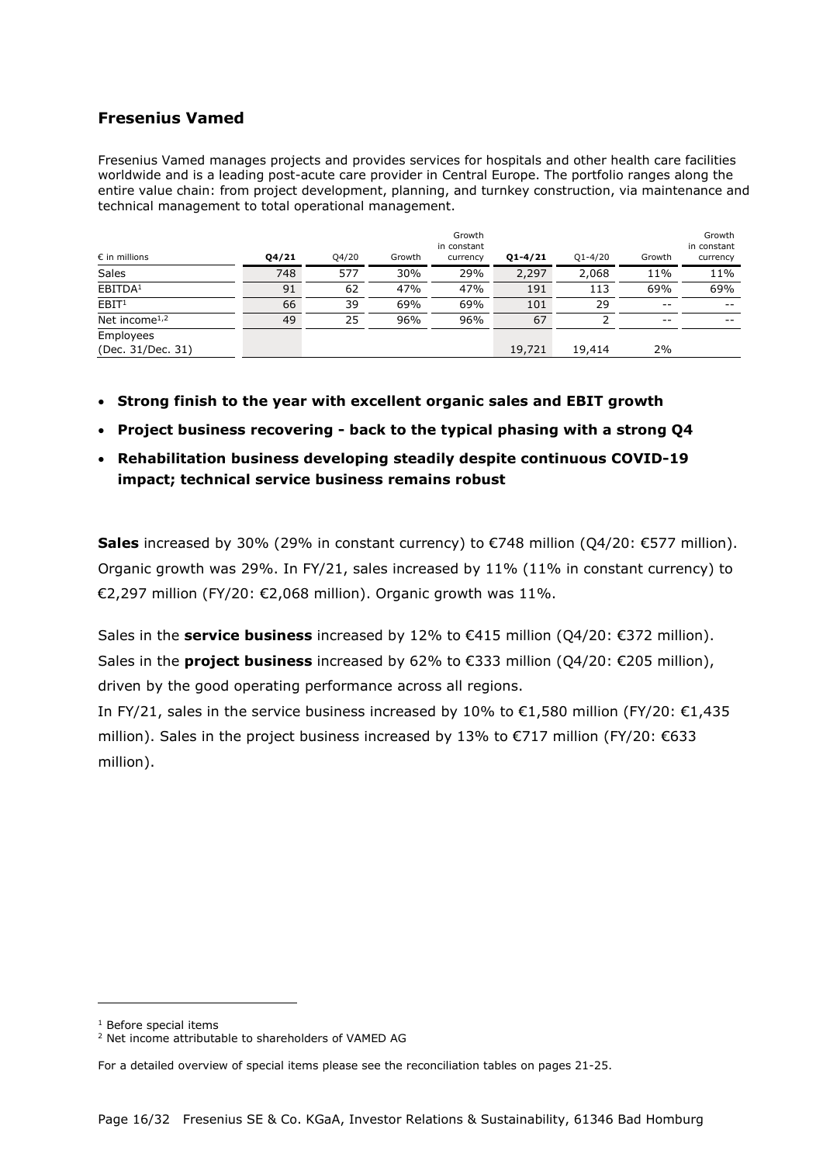### **Fresenius Vamed**

Fresenius Vamed manages projects and provides services for hospitals and other health care facilities worldwide and is a leading post-acute care provider in Central Europe. The portfolio ranges along the entire value chain: from project development, planning, and turnkey construction, via maintenance and technical management to total operational management.

| $\epsilon$ in millions                 | Q4/21 | Q4/20 | Growth | Growth<br>in constant<br>currency | $Q1 - 4/21$ | $Q1 - 4/20$ | Growth | Growth<br>in constant<br>currency |
|----------------------------------------|-------|-------|--------|-----------------------------------|-------------|-------------|--------|-----------------------------------|
| <b>Sales</b>                           | 748   | 577   | 30%    | 29%                               | 2,297       | 2,068       | 11%    | 11%                               |
| EBITDA <sup>1</sup>                    | 91    | 62    | 47%    | 47%                               | 191         | 113         | 69%    | 69%                               |
| EBIT <sup>1</sup>                      | 66    | 39    | 69%    | 69%                               | 101         | 29          | $- -$  | $- -$                             |
| Net income <sup><math>1,2</math></sup> | 49    | 25    | 96%    | 96%                               | 67          |             | $- -$  | $- -$                             |
| Employees<br>(Dec. 31/Dec. 31)         |       |       |        |                                   | 19,721      | 19,414      | 2%     |                                   |

- **Strong finish to the year with excellent organic sales and EBIT growth**
- **Project business recovering - back to the typical phasing with a strong Q4**
- **Rehabilitation business developing steadily despite continuous COVID-19 impact; technical service business remains robust**

**Sales** increased by 30% (29% in constant currency) to €748 million (Q4/20: €577 million). Organic growth was 29%. In FY/21, sales increased by 11% (11% in constant currency) to €2,297 million (FY/20: €2,068 million). Organic growth was 11%.

Sales in the **service business** increased by 12% to €415 million (Q4/20: €372 million). Sales in the **project business** increased by 62% to €333 million (Q4/20: €205 million), driven by the good operating performance across all regions.

In FY/21, sales in the service business increased by 10% to €1,580 million (FY/20: €1,435 million). Sales in the project business increased by 13% to  $\epsilon$ 717 million (FY/20:  $\epsilon$ 633 million).

<sup>1</sup> Before special items

<span id="page-15-1"></span><span id="page-15-0"></span><sup>2</sup> Net income attributable to shareholders of VAMED AG

For a detailed overview of special items please see the reconciliation tables on pages 21-25.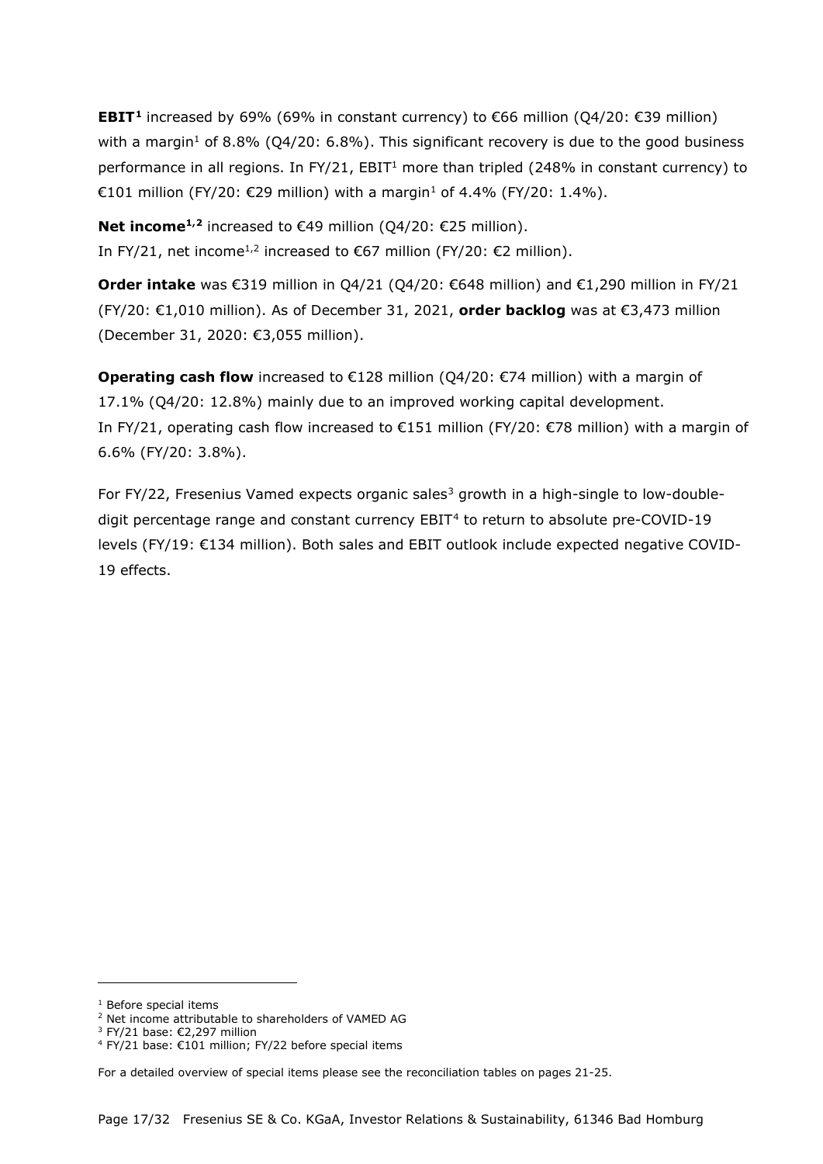**EBIT<sup>[1](#page-16-0)</sup>** increased by 69% (69% in constant currency) to €66 million (O4/20: €39 million) with a margin<sup>1</sup> of 8.8% (Q4/20: 6.8%). This significant recovery is due to the good business performance in all regions. In FY/21, EBIT<sup>1</sup> more than tripled (248% in constant currency) to €101 million (FY/20: €29 million) with a margin<sup>1</sup> of 4.4% (FY/20: 1.4%).

**Net income<sup>1,[2](#page-16-1)</sup>** increased to €49 million (Q4/20: €25 million). In FY/21, net income<sup>1,2</sup> increased to €67 million (FY/20: €2 million).

**Order intake** was €319 million in Q4/21 (Q4/20: €648 million) and €1,290 million in FY/21 (FY/20: €1,010 million). As of December 31, 2021, **order backlog** was at €3,473 million (December 31, 2020: €3,055 million).

**Operating cash flow** increased to €128 million (Q4/20: €74 million) with a margin of 17.1% (Q4/20: 12.8%) mainly due to an improved working capital development. In FY/21, operating cash flow increased to €151 million (FY/20: €78 million) with a margin of 6.6% (FY/20: 3.8%).

For FY/22, Fresenius Vamed expects organic sales<sup>[3](#page-16-2)</sup> growth in a high-single to low-doubledigit percentage range and constant currency  $EBIT<sup>4</sup>$  $EBIT<sup>4</sup>$  $EBIT<sup>4</sup>$  to return to absolute pre-COVID-19 levels (FY/19: €134 million). Both sales and EBIT outlook include expected negative COVID-19 effects.

<span id="page-16-0"></span><sup>1</sup> Before special items

<span id="page-16-1"></span><sup>2</sup> Net income attributable to shareholders of VAMED AG

<sup>3</sup> FY/21 base: €2,297 million

<span id="page-16-3"></span><span id="page-16-2"></span><sup>4</sup> FY/21 base: €101 million; FY/22 before special items

For a detailed overview of special items please see the reconciliation tables on pages 21-25.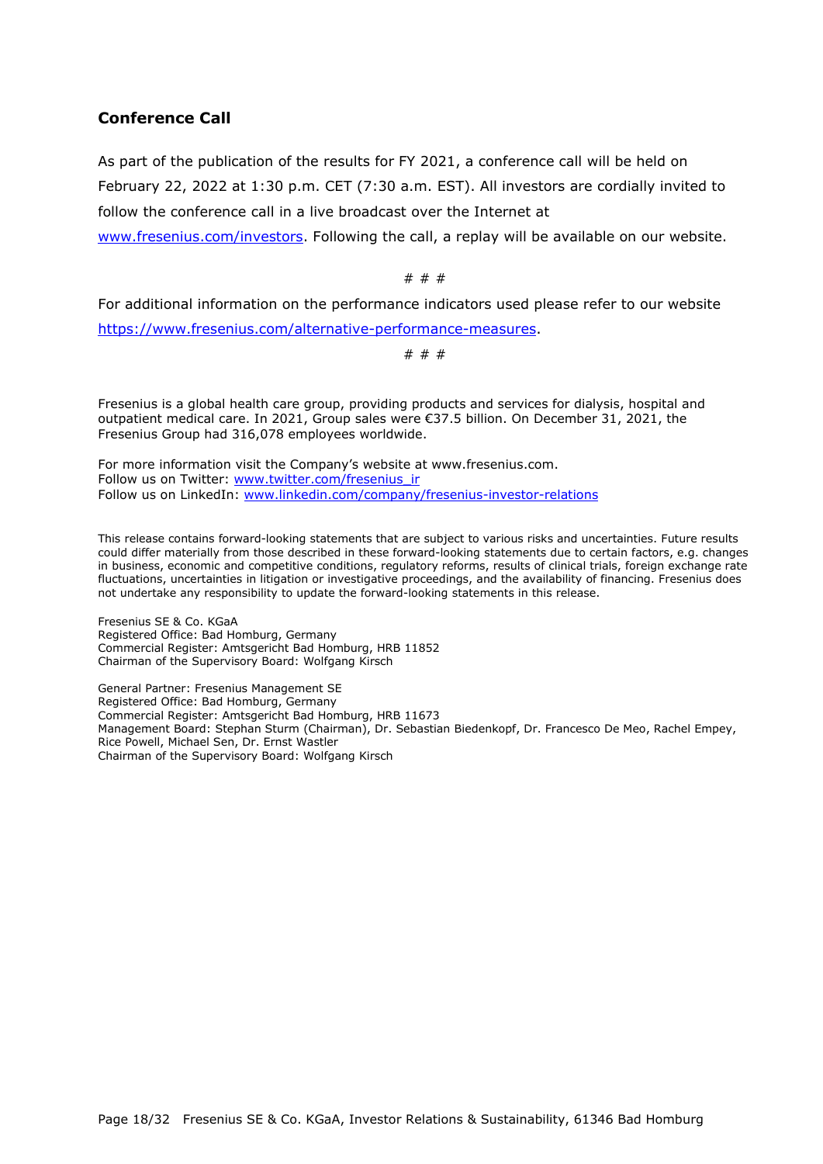#### **Conference Call**

As part of the publication of the results for FY 2021, a conference call will be held on February 22, 2022 at 1:30 p.m. CET (7:30 a.m. EST). All investors are cordially invited to follow the conference call in a live broadcast over the Internet at

[www.fresenius.com/investors.](http://www.fresenius.com/investors) Following the call, a replay will be available on our website.

# # #

For additional information on the performance indicators used please refer to our website [https://www.fresenius.com/alternative-performance-measures.](https://www.fresenius.com/alternative-performance-measures)

# # #

Fresenius is a global health care group, providing products and services for dialysis, hospital and outpatient medical care. In 2021, Group sales were €37.5 billion. On December 31, 2021, the Fresenius Group had 316,078 employees worldwide.

For more information visit the Company's website at [www.fresenius.com.](http://www.fresenius.com/) Follow us on Twitter: [www.twitter.com/fresenius\\_ir](http://www.twitter.com/fresenius_ir) Follow us on LinkedIn: [www.linkedin.com/company/fresenius-investor-relations](http://www.linkedin.com/company/fresenius-investor-relations)

This release contains forward-looking statements that are subject to various risks and uncertainties. Future results could differ materially from those described in these forward-looking statements due to certain factors, e.g. changes in business, economic and competitive conditions, regulatory reforms, results of clinical trials, foreign exchange rate fluctuations, uncertainties in litigation or investigative proceedings, and the availability of financing. Fresenius does not undertake any responsibility to update the forward-looking statements in this release.

Fresenius SE & Co. KGaA Registered Office: Bad Homburg, Germany Commercial Register: Amtsgericht Bad Homburg, HRB 11852 Chairman of the Supervisory Board: Wolfgang Kirsch

General Partner: Fresenius Management SE Registered Office: Bad Homburg, Germany Commercial Register: Amtsgericht Bad Homburg, HRB 11673 Management Board: Stephan Sturm (Chairman), Dr. Sebastian Biedenkopf, Dr. Francesco De Meo, Rachel Empey, Rice Powell, Michael Sen, Dr. Ernst Wastler Chairman of the Supervisory Board: Wolfgang Kirsch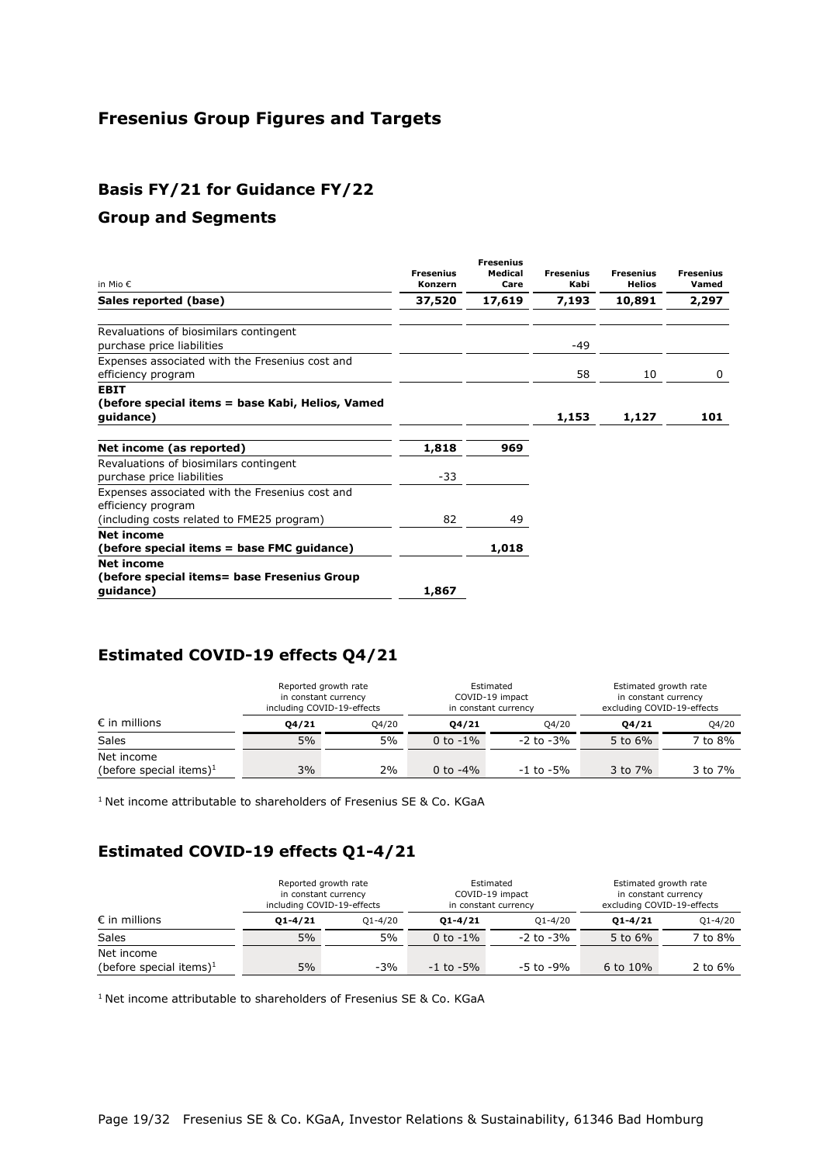# **Fresenius Group Figures and Targets**

# **Basis FY/21 for Guidance FY/22**

#### **Group and Segments**

| in Mio $\epsilon$                                                                                                   | <b>Fresenius</b><br>Konzern | <b>Fresenius</b><br>Medical<br>Care | <b>Fresenius</b><br>Kabi | <b>Fresenius</b><br><b>Helios</b> | <b>Fresenius</b><br>Vamed |
|---------------------------------------------------------------------------------------------------------------------|-----------------------------|-------------------------------------|--------------------------|-----------------------------------|---------------------------|
| Sales reported (base)                                                                                               | 37,520                      | 17,619                              | 7,193                    | 10,891                            | 2,297                     |
| Revaluations of biosimilars contingent<br>purchase price liabilities                                                |                             |                                     | -49                      |                                   |                           |
| Expenses associated with the Fresenius cost and<br>efficiency program                                               |                             |                                     | 58                       | 10                                | 0                         |
| <b>EBIT</b><br>(before special items = base Kabi, Helios, Vamed<br>guidance)                                        |                             |                                     | 1,153                    | 1,127                             | 101                       |
| Net income (as reported)                                                                                            | 1,818                       | 969                                 |                          |                                   |                           |
| Revaluations of biosimilars contingent<br>purchase price liabilities                                                | -33                         |                                     |                          |                                   |                           |
| Expenses associated with the Fresenius cost and<br>efficiency program<br>(including costs related to FME25 program) | 82                          | 49                                  |                          |                                   |                           |
| Net income<br>(before special items = base FMC guidance)                                                            |                             | 1,018                               |                          |                                   |                           |
| <b>Net income</b><br>(before special items= base Fresenius Group<br>quidance)                                       | 1,867                       |                                     |                          |                                   |                           |

# **Estimated COVID-19 effects Q4/21**

|                                                   | Reported growth rate<br>Estimated<br>in constant currency<br>COVID-19 impact<br>including COVID-19-effects<br>in constant currency |       |             | Estimated growth rate<br>in constant currency<br>excluding COVID-19-effects |            |         |
|---------------------------------------------------|------------------------------------------------------------------------------------------------------------------------------------|-------|-------------|-----------------------------------------------------------------------------|------------|---------|
| $\epsilon$ in millions                            | 04/21                                                                                                                              | 04/20 | 04/21       | Q4/20                                                                       | 04/21      | Q4/20   |
| <b>Sales</b>                                      | 5%                                                                                                                                 | 5%    | 0 to $-1\%$ | $-2$ to $-3\%$                                                              | 5 to $6\%$ | 7 to 8% |
| Net income<br>(before special items) <sup>1</sup> | 3%                                                                                                                                 | 2%    | 0 to $-4\%$ | $-1$ to $-5\%$                                                              | 3 to 7%    | 3 to 7% |

<sup>1</sup> Net income attributable to shareholders of Fresenius SE & Co. KGaA

# **Estimated COVID-19 effects Q1-4/21**

|                            |             | Reported growth rate<br>in constant currency<br>including COVID-19-effects |                | Estimated<br>COVID-19 impact<br>in constant currency |             | Estimated growth rate<br>in constant currency<br>excluding COVID-19-effects |
|----------------------------|-------------|----------------------------------------------------------------------------|----------------|------------------------------------------------------|-------------|-----------------------------------------------------------------------------|
| $\epsilon$ in millions     | $01 - 4/21$ | $O1 - 4/20$                                                                | $01 - 4/21$    | $O1 - 4/20$                                          | $01 - 4/21$ | $Q1 - 4/20$                                                                 |
| Sales                      | 5%          | 5%                                                                         | 0 to $-1\%$    | $-2$ to $-3\%$                                       | 5 to $6\%$  | 7 to 8%                                                                     |
| Net income                 |             |                                                                            |                |                                                      |             |                                                                             |
| (before special items) $1$ | 5%          | $-3%$                                                                      | $-1$ to $-5\%$ | -5 to -9%                                            | 6 to $10\%$ | 2 to $6\%$                                                                  |

<sup>1</sup> Net income attributable to shareholders of Fresenius SE & Co. KGaA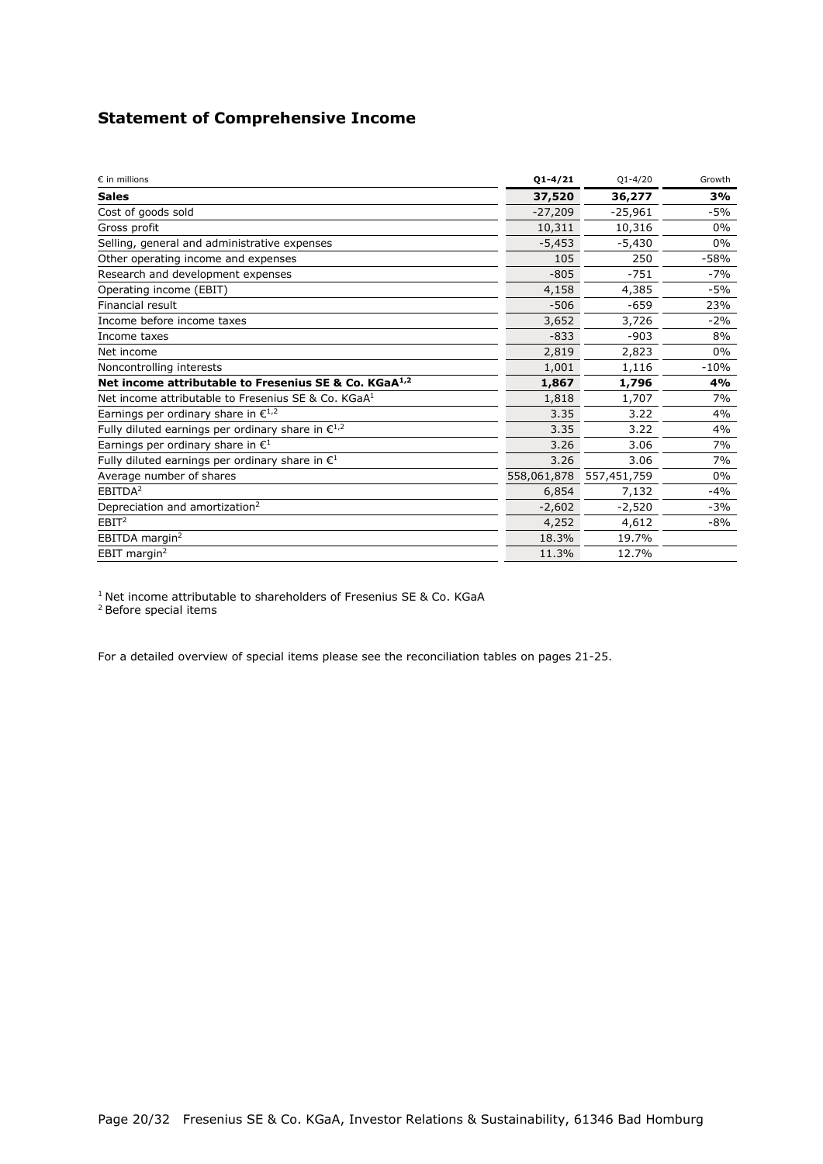# **Statement of Comprehensive Income**

| $\varepsilon$ in millions                                         | $01 - 4/21$ | $Q1 - 4/20$ | Growth |
|-------------------------------------------------------------------|-------------|-------------|--------|
| <b>Sales</b>                                                      | 37,520      | 36,277      | 3%     |
| Cost of goods sold                                                | $-27,209$   | $-25,961$   | $-5%$  |
| Gross profit                                                      | 10,311      | 10,316      | $0\%$  |
| Selling, general and administrative expenses                      | $-5,453$    | $-5,430$    | $0\%$  |
| Other operating income and expenses                               | 105         | 250         | $-58%$ |
| Research and development expenses                                 | $-805$      | $-751$      | $-7%$  |
| Operating income (EBIT)                                           | 4,158       | 4,385       | $-5%$  |
| Financial result                                                  | $-506$      | $-659$      | 23%    |
| Income before income taxes                                        | 3,652       | 3,726       | $-2%$  |
| Income taxes                                                      | $-833$      | $-903$      | 8%     |
| Net income                                                        | 2,819       | 2,823       | 0%     |
| Noncontrolling interests                                          | 1,001       | 1,116       | $-10%$ |
| Net income attributable to Fresenius SE & Co. KGaA <sup>1,2</sup> | 1,867       | 1,796       | 4%     |
| Net income attributable to Fresenius SE & Co. KGaA <sup>1</sup>   | 1,818       | 1,707       | 7%     |
| Earnings per ordinary share in $\epsilon^{1,2}$                   | 3.35        | 3.22        | 4%     |
| Fully diluted earnings per ordinary share in $\epsilon^{1,2}$     | 3.35        | 3.22        | 4%     |
| Earnings per ordinary share in $\mathbb{C}^1$                     | 3.26        | 3.06        | 7%     |
| Fully diluted earnings per ordinary share in $\mathbf{E}^1$       | 3.26        | 3.06        | 7%     |
| Average number of shares                                          | 558,061,878 | 557,451,759 | $0\%$  |
| EBITDA <sup>2</sup>                                               | 6,854       | 7,132       | $-4%$  |
| Depreciation and amortization <sup>2</sup>                        | $-2,602$    | $-2,520$    | -3%    |
| EBIT <sup>2</sup>                                                 | 4,252       | 4,612       | -8%    |
| EBITDA margin <sup>2</sup>                                        | 18.3%       | 19.7%       |        |
| EBIT margin <sup>2</sup>                                          | 11.3%       | 12.7%       |        |

<sup>1</sup> Net income attributable to shareholders of Fresenius SE & Co. KGaA

2 Before special items

For a detailed overview of special items please see the reconciliation tables on pages 21-25.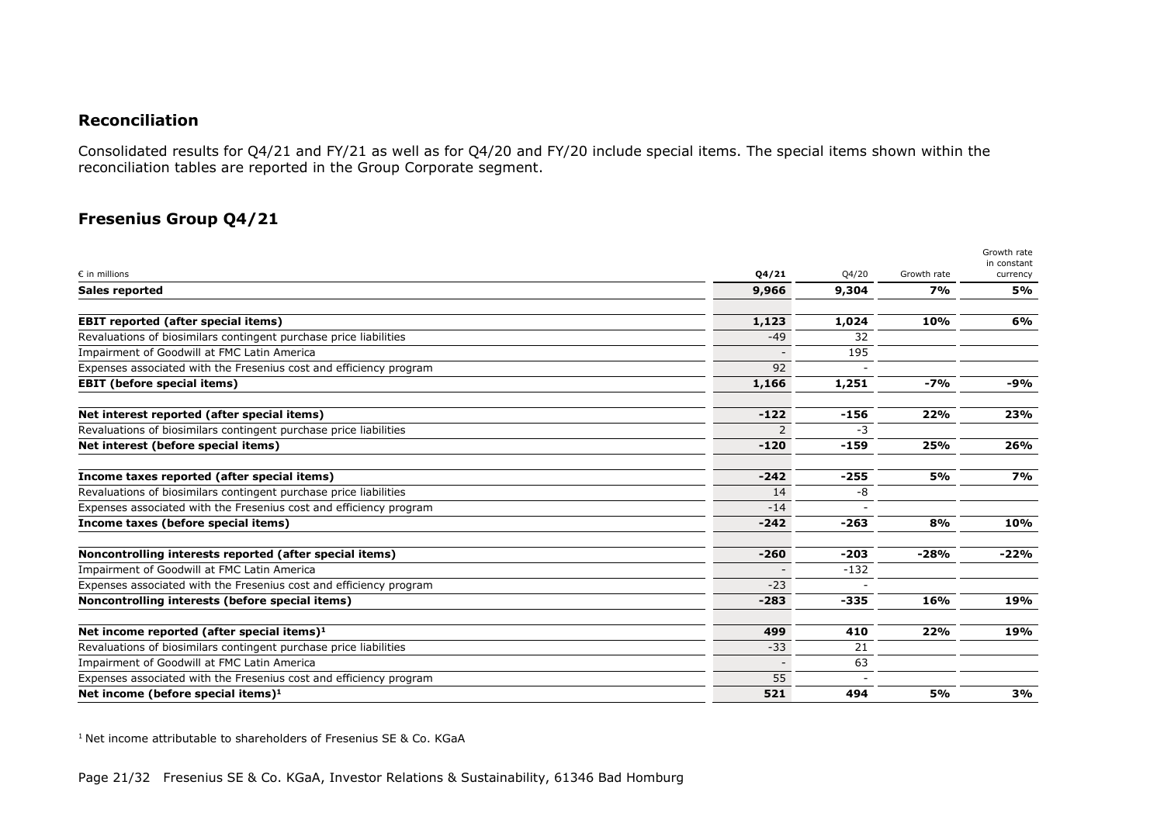#### **Reconciliation**

Consolidated results for Q4/21 and FY/21 as well as for Q4/20 and FY/20 include special items. The special items shown within the reconciliation tables are reported in the Group Corporate segment.

# **Fresenius Group Q4/21**

|                                                                    |        |        |             | Growth rate<br>in constant |
|--------------------------------------------------------------------|--------|--------|-------------|----------------------------|
| $\epsilon$ in millions                                             | Q4/21  | Q4/20  | Growth rate | currency                   |
| <b>Sales reported</b>                                              | 9,966  | 9,304  | 7%          | 5%                         |
| <b>EBIT reported (after special items)</b>                         | 1,123  | 1,024  | 10%         | 6%                         |
| Revaluations of biosimilars contingent purchase price liabilities  | $-49$  | 32     |             |                            |
| Impairment of Goodwill at FMC Latin America                        |        | 195    |             |                            |
| Expenses associated with the Fresenius cost and efficiency program | 92     |        |             |                            |
| <b>EBIT (before special items)</b>                                 | 1,166  | 1,251  | $-7%$       | -9%                        |
| Net interest reported (after special items)                        | $-122$ | $-156$ | 22%         | 23%                        |
| Revaluations of biosimilars contingent purchase price liabilities  |        | -3     |             |                            |
| Net interest (before special items)                                | $-120$ | $-159$ | 25%         | 26%                        |
| Income taxes reported (after special items)                        | $-242$ | $-255$ | 5%          | <b>7%</b>                  |
| Revaluations of biosimilars contingent purchase price liabilities  | 14     | -8     |             |                            |
| Expenses associated with the Fresenius cost and efficiency program | $-14$  |        |             |                            |
| Income taxes (before special items)                                | $-242$ | $-263$ | 8%          | 10%                        |
| Noncontrolling interests reported (after special items)            | $-260$ | $-203$ | $-28%$      | $-22%$                     |
| Impairment of Goodwill at FMC Latin America                        |        | $-132$ |             |                            |
| Expenses associated with the Fresenius cost and efficiency program | $-23$  |        |             |                            |
| Noncontrolling interests (before special items)                    | $-283$ | $-335$ | 16%         | 19%                        |
| Net income reported (after special items) $1$                      | 499    | 410    | 22%         | 19%                        |
| Revaluations of biosimilars contingent purchase price liabilities  | $-33$  | 21     |             |                            |
| Impairment of Goodwill at FMC Latin America                        |        | 63     |             |                            |
| Expenses associated with the Fresenius cost and efficiency program | 55     |        |             |                            |
| Net income (before special items) $1$                              | 521    | 494    | <b>5%</b>   | 3%                         |

<sup>1</sup> Net income attributable to shareholders of Fresenius SE & Co. KGaA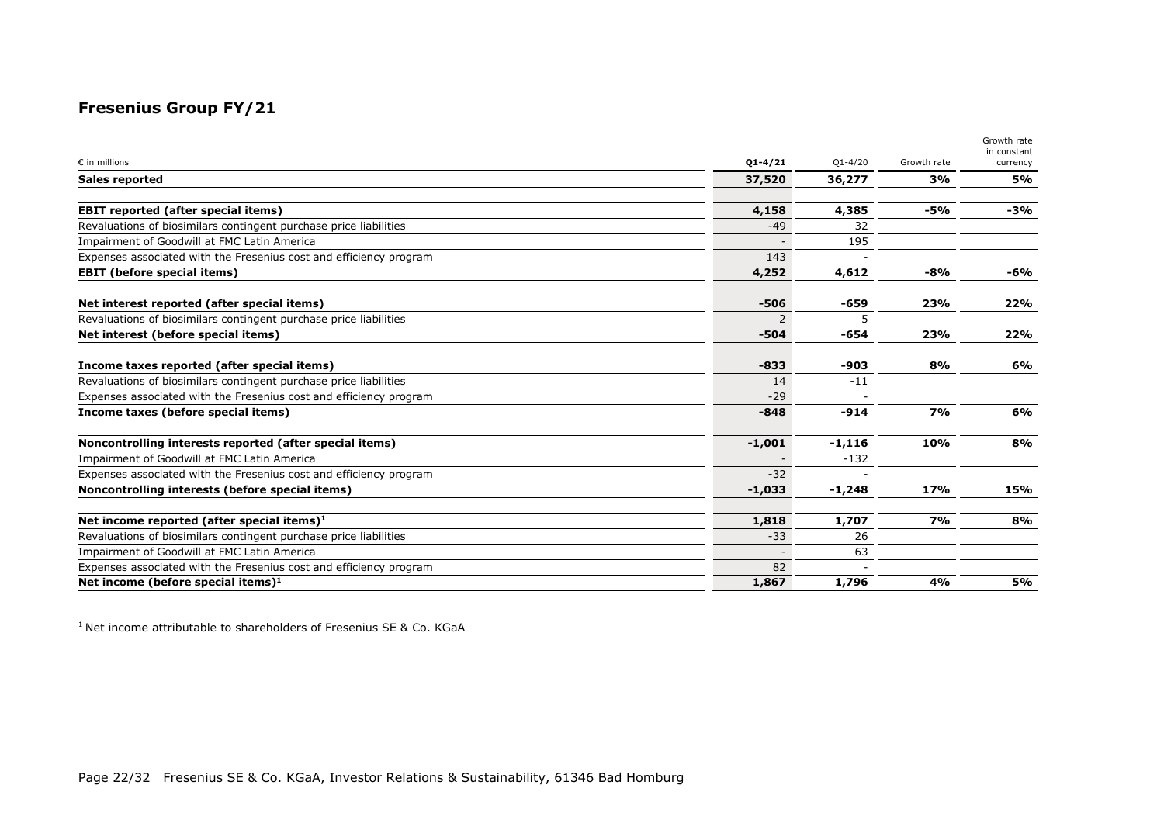# **Fresenius Group FY/21**

|                                                                    |             |             |             | Growth rate<br>in constant |
|--------------------------------------------------------------------|-------------|-------------|-------------|----------------------------|
| $\varepsilon$ in millions                                          | $Q1 - 4/21$ | $Q1 - 4/20$ | Growth rate | currency                   |
| Sales reported                                                     | 37,520      | 36,277      | 3%          | 5%                         |
| <b>EBIT reported (after special items)</b>                         | 4,158       | 4,385       | $-5%$       | -3%                        |
| Revaluations of biosimilars contingent purchase price liabilities  | $-49$       | 32          |             |                            |
| <b>Impairment of Goodwill at FMC Latin America</b>                 |             | 195         |             |                            |
| Expenses associated with the Fresenius cost and efficiency program | 143         |             |             |                            |
| <b>EBIT</b> (before special items)                                 | 4,252       | 4,612       | $-8%$       | -6%                        |
| Net interest reported (after special items)                        | $-506$      | $-659$      | 23%         | 22%                        |
| Revaluations of biosimilars contingent purchase price liabilities  | 2           | 5           |             |                            |
| Net interest (before special items)                                | $-504$      | $-654$      | 23%         | 22%                        |
| Income taxes reported (after special items)                        | $-833$      | $-903$      | 8%          | 6%                         |
| Revaluations of biosimilars contingent purchase price liabilities  | 14          | $-11$       |             |                            |
| Expenses associated with the Fresenius cost and efficiency program | $-29$       |             |             |                            |
| Income taxes (before special items)                                | $-848$      | $-914$      | 7%          | 6%                         |
| Noncontrolling interests reported (after special items)            | $-1,001$    | $-1,116$    | 10%         | 8%                         |
| Impairment of Goodwill at FMC Latin America                        |             | $-132$      |             |                            |
| Expenses associated with the Fresenius cost and efficiency program | $-32$       |             |             |                            |
| Noncontrolling interests (before special items)                    | $-1,033$    | -1,248      | 17%         | 15%                        |
| Net income reported (after special items) $1$                      | 1,818       | 1,707       | 7%          | 8%                         |
| Revaluations of biosimilars contingent purchase price liabilities  | $-33$       | 26          |             |                            |
| Impairment of Goodwill at FMC Latin America                        |             | 63          |             |                            |
| Expenses associated with the Fresenius cost and efficiency program | 82          |             |             |                            |
| Net income (before special items) $1$                              | 1,867       | 1,796       | 4%          | 5%                         |

1 Net income attributable to shareholders of Fresenius SE & Co. KGaA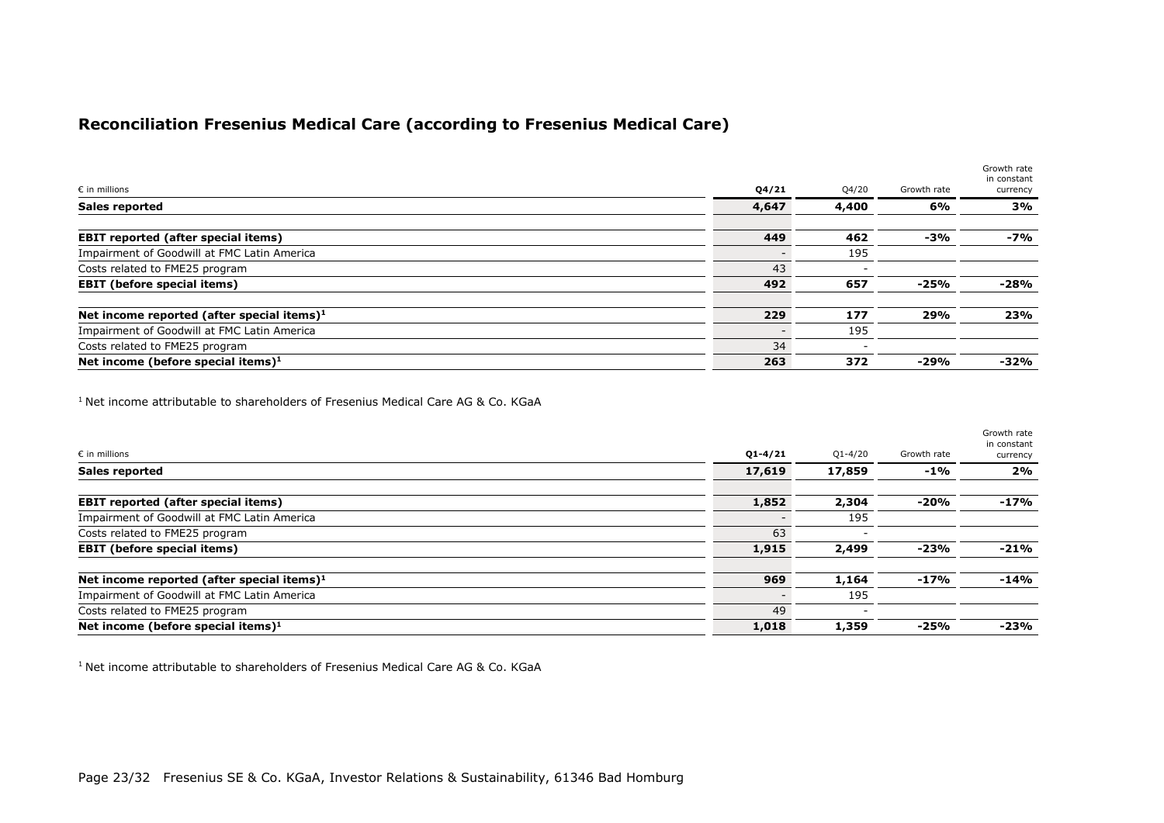# **Reconciliation Fresenius Medical Care (according to Fresenius Medical Care)**

| $\epsilon$ in millions                        | Q4/21 | Q4/20 | Growth rate | Growth rate<br>in constant<br>currency |
|-----------------------------------------------|-------|-------|-------------|----------------------------------------|
| <b>Sales reported</b>                         | 4,647 | 4,400 | 6%          | 3%                                     |
| <b>EBIT reported (after special items)</b>    | 449   | 462   | $-3%$       | -7%                                    |
| Impairment of Goodwill at FMC Latin America   |       | 195   |             |                                        |
| Costs related to FME25 program                | 43    |       |             |                                        |
| <b>EBIT (before special items)</b>            | 492   | 657   | $-25%$      | -28%                                   |
| Net income reported (after special items) $1$ | 229   | 177   | 29%         | 23%                                    |
| Impairment of Goodwill at FMC Latin America   |       | 195   |             |                                        |
| Costs related to FME25 program                | 34    |       |             |                                        |
| Net income (before special items) $1$         | 263   | 372   | $-29%$      | -32%                                   |

<sup>1</sup> Net income attributable to shareholders of Fresenius Medical Care AG & Co. KGaA

|                                               |             |             |             | Growth rate<br>in constant |
|-----------------------------------------------|-------------|-------------|-------------|----------------------------|
| $\epsilon$ in millions                        | $Q1 - 4/21$ | $Q1 - 4/20$ | Growth rate | currency                   |
| <b>Sales reported</b>                         | 17,619      | 17,859      | $-1\%$      | 2%                         |
| <b>EBIT reported (after special items)</b>    | 1,852       | 2,304       | -20%        | $-17%$                     |
| Impairment of Goodwill at FMC Latin America   |             | 195         |             |                            |
| Costs related to FME25 program                | 63          |             |             |                            |
| <b>EBIT</b> (before special items)            | 1,915       | 2,499       | -23%        | $-21%$                     |
| Net income reported (after special items) $1$ | 969         | 1,164       | -17%        | $-14%$                     |
| Impairment of Goodwill at FMC Latin America   |             | 195         |             |                            |
| Costs related to FME25 program                | 49          |             |             |                            |
| Net income (before special items) $1$         | 1,018       | 1,359       | $-25%$      | $-23%$                     |

<sup>1</sup> Net income attributable to shareholders of Fresenius Medical Care AG & Co. KGaA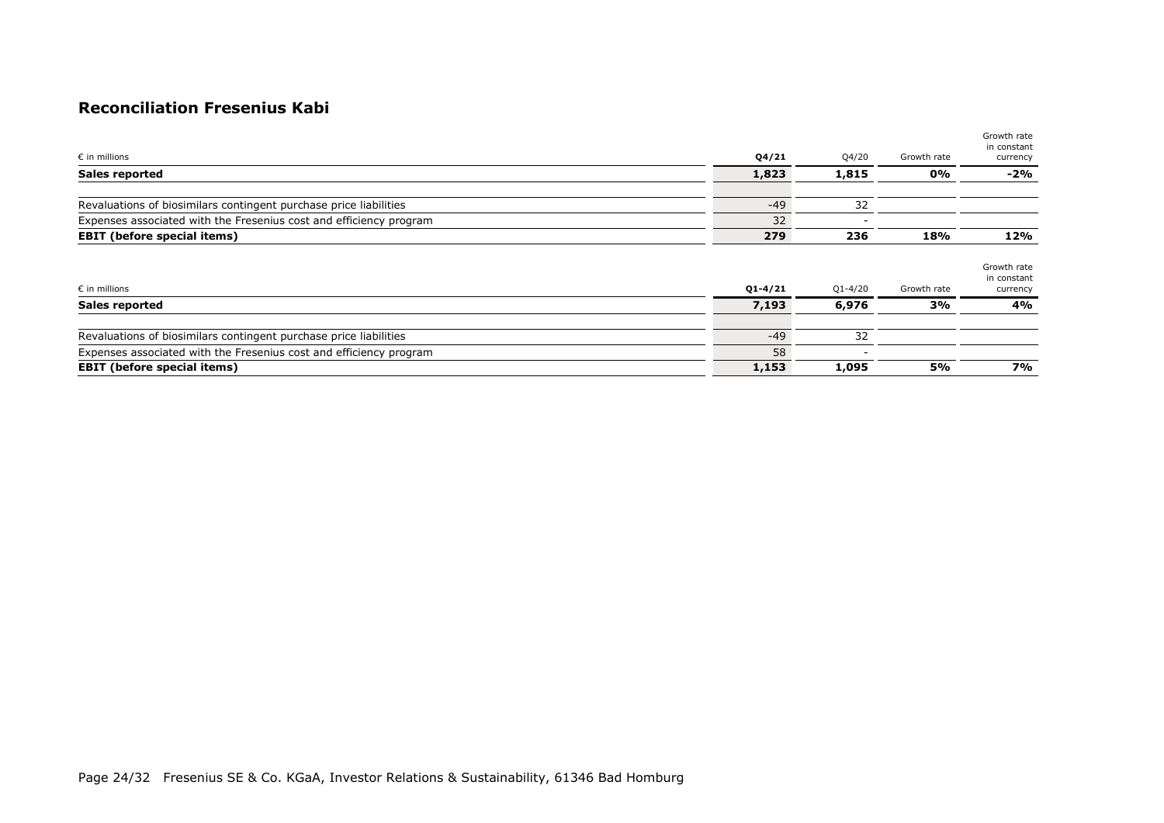# **Reconciliation Fresenius Kabi**

| $\epsilon$ in millions                                             | Q4/21 | Q4/20 | Growth rate | Growth rate<br>in constant<br>currency |
|--------------------------------------------------------------------|-------|-------|-------------|----------------------------------------|
| <b>Sales reported</b>                                              | 1,823 | 1,815 | 0%          | $-2%$                                  |
| Revaluations of biosimilars contingent purchase price liabilities  | $-49$ | 32    |             |                                        |
| Expenses associated with the Fresenius cost and efficiency program | 32    |       |             |                                        |
| <b>EBIT</b> (before special items)                                 | 279   | 236   | 18%         | 12%                                    |

| $\epsilon$ in millions                                             | $Q1 - 4/21$ | $Q1 - 4/20$ | Growth rate | Growth rate<br>in constant<br>currency |
|--------------------------------------------------------------------|-------------|-------------|-------------|----------------------------------------|
| <b>Sales reported</b>                                              | 7,193       | 6,976       | 3%          | 4%                                     |
| Revaluations of biosimilars contingent purchase price liabilities  | $-49$       | 32          |             |                                        |
| Expenses associated with the Fresenius cost and efficiency program | 58          |             |             |                                        |
| <b>EBIT</b> (before special items)                                 | 1,153       | 1,095       | 5%          | 7%                                     |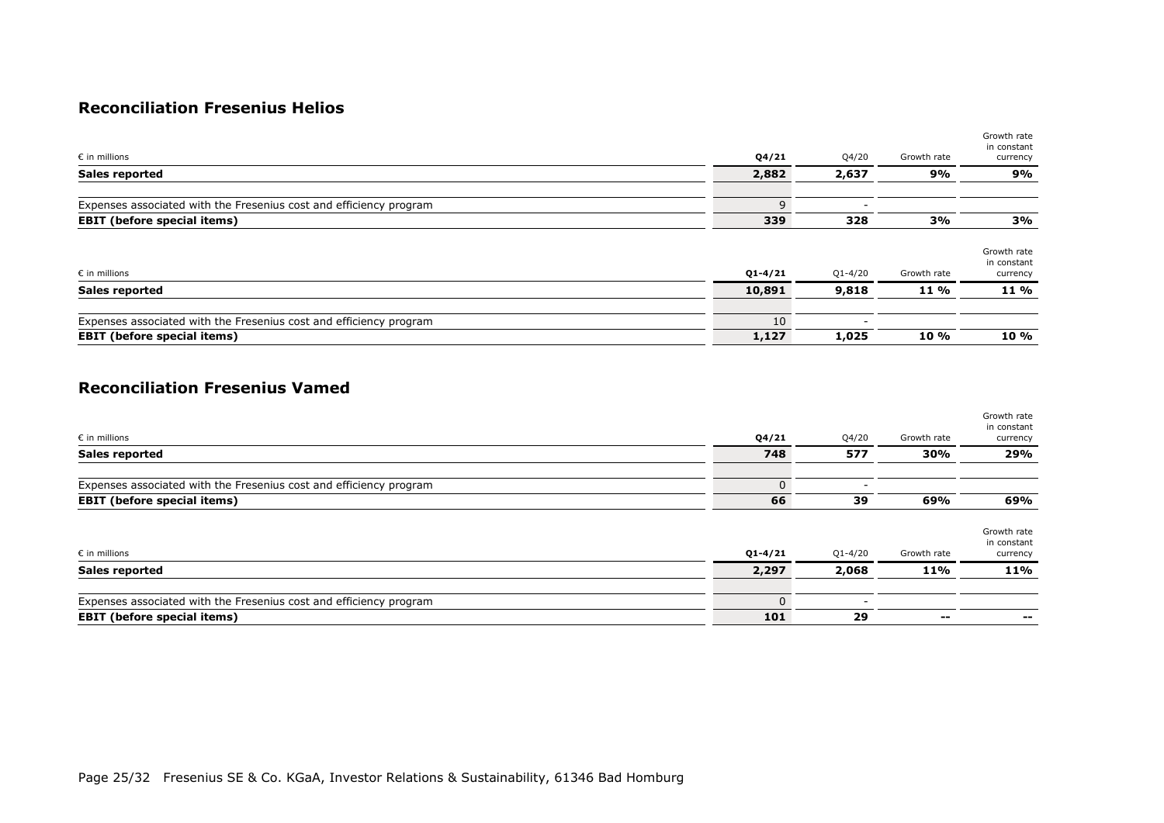# **Reconciliation Fresenius Helios**

| $\varepsilon$ in millions                                          | Q4/21        | Q4/20       | Growth rate | Growth rate<br>in constant<br>currency |
|--------------------------------------------------------------------|--------------|-------------|-------------|----------------------------------------|
| Sales reported                                                     | 2,882        | 2,637       | 9%          | 9%                                     |
| Expenses associated with the Fresenius cost and efficiency program | $\mathsf{Q}$ |             |             |                                        |
| <b>EBIT</b> (before special items)                                 | 339          | 328         | 3%          | 3%                                     |
| $\varepsilon$ in millions                                          | $Q1 - 4/21$  | $Q1 - 4/20$ | Growth rate | Growth rate<br>in constant<br>currency |
| Sales reported                                                     | 10,891       | 9,818       | 11 %        | 11 %                                   |
| Expenses associated with the Fresenius cost and efficiency program | 10           |             |             |                                        |
| <b>EBIT</b> (before special items)                                 | 1,127        | 1,025       | 10 %        | 10 %                                   |

### **Reconciliation Fresenius Vamed**

| $\varepsilon$ in millions                                          | Q4/21    | Q4/20                    | Growth rate | Growth rate<br>in constant<br>currency |
|--------------------------------------------------------------------|----------|--------------------------|-------------|----------------------------------------|
| <b>Sales reported</b>                                              | 748      | 577                      | 30%         | 29%                                    |
| Expenses associated with the Fresenius cost and efficiency program |          | $\overline{\phantom{0}}$ |             |                                        |
| <b>EBIT</b> (before special items)                                 | 66       | 39                       | 69%         | 69%                                    |
| $\epsilon$ in millions                                             | Q1-4/21  | $Q1 - 4/20$              | Growth rate | Growth rate<br>in constant<br>currency |
| Sales reported                                                     | 2,297    | 2,068                    | 11%         | 11%                                    |
|                                                                    |          |                          |             |                                        |
| Expenses associated with the Fresenius cost and efficiency program | $\Omega$ | $\overline{\phantom{0}}$ |             |                                        |
| <b>EBIT</b> (before special items)                                 | 101      | 29                       | $\sim$      | $- -$                                  |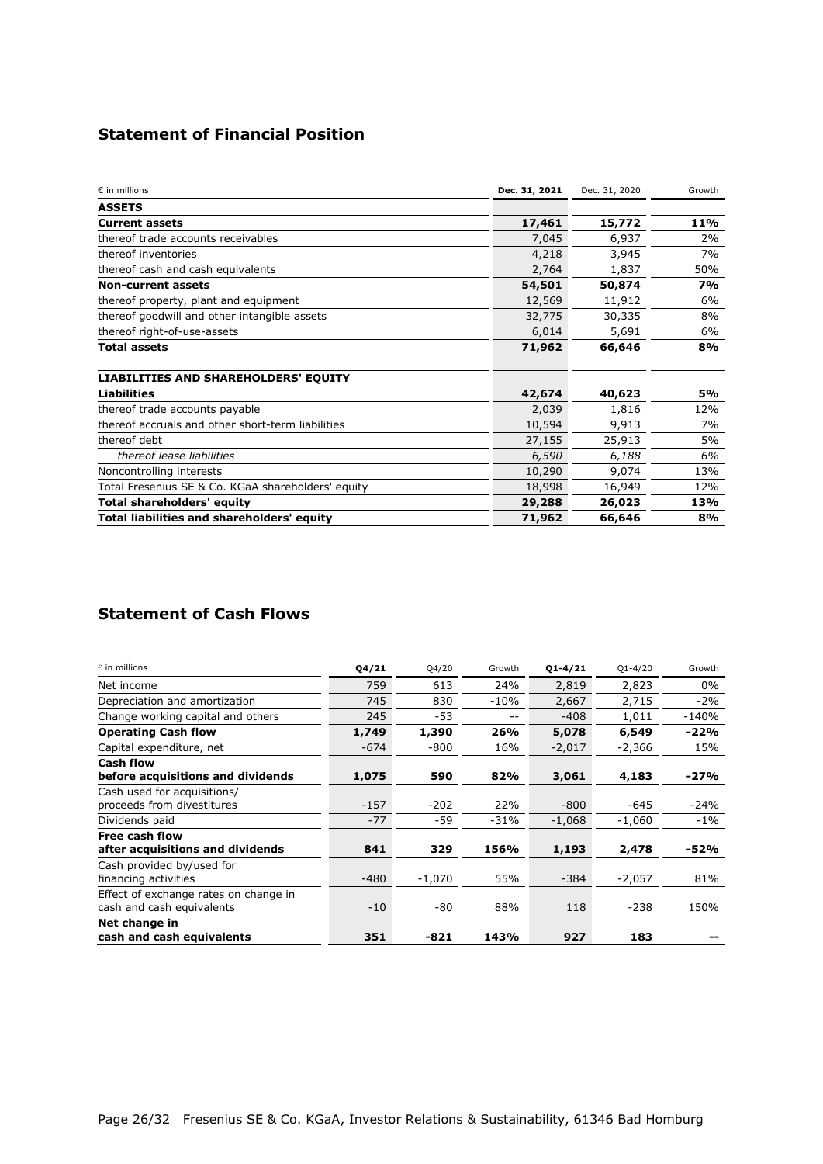# **Statement of Financial Position**

| $\varepsilon$ in millions                          | Dec. 31, 2021 | Dec. 31, 2020 | Growth |
|----------------------------------------------------|---------------|---------------|--------|
| <b>ASSETS</b>                                      |               |               |        |
| <b>Current assets</b>                              | 17,461        | 15,772        | 11%    |
| thereof trade accounts receivables                 | 7,045         | 6,937         | 2%     |
| thereof inventories                                | 4,218         | 3,945         | 7%     |
| thereof cash and cash equivalents                  | 2,764         | 1,837         | 50%    |
| <b>Non-current assets</b>                          | 54,501        | 50,874        | 7%     |
| thereof property, plant and equipment              | 12,569        | 11,912        | 6%     |
| thereof goodwill and other intangible assets       | 32,775        | 30,335        | 8%     |
| thereof right-of-use-assets                        | 6,014         | 5,691         | 6%     |
| <b>Total assets</b>                                | 71,962        | 66,646        | 8%     |
| <b>LIABILITIES AND SHAREHOLDERS' EQUITY</b>        |               |               |        |
| <b>Liabilities</b>                                 | 42,674        | 40,623        | 5%     |
| thereof trade accounts payable                     | 2,039         | 1,816         | 12%    |
| thereof accruals and other short-term liabilities  | 10,594        | 9,913         | 7%     |
| thereof debt                                       | 27,155        | 25,913        | 5%     |
| thereof lease liabilities                          | 6,590         | 6,188         | 6%     |
| Noncontrolling interests                           | 10,290        | 9,074         | 13%    |
| Total Fresenius SE & Co. KGaA shareholders' equity | 18,998        | 16,949        | 12%    |
| <b>Total shareholders' equity</b>                  | 29,288        | 26,023        | 13%    |
| Total liabilities and shareholders' equity         | 71,962        | 66,646        | 8%     |

# **Statement of Cash Flows**

| $\epsilon$ in millions                | Q4/21  | Q4/20    | Growth | $Q1 - 4/21$ | $Q1 - 4/20$ | Growth  |
|---------------------------------------|--------|----------|--------|-------------|-------------|---------|
| Net income                            | 759    | 613      | 24%    | 2,819       | 2,823       | 0%      |
| Depreciation and amortization         | 745    | 830      | $-10%$ | 2,667       | 2,715       | $-2%$   |
| Change working capital and others     | 245    | $-53$    | $- -$  | $-408$      | 1,011       | $-140%$ |
| <b>Operating Cash flow</b>            | 1,749  | 1,390    | 26%    | 5,078       | 6,549       | $-22%$  |
| Capital expenditure, net              | $-674$ | $-800$   | 16%    | $-2,017$    | $-2,366$    | 15%     |
| <b>Cash flow</b>                      |        |          |        |             |             |         |
| before acquisitions and dividends     | 1,075  | 590      | 82%    | 3,061       | 4,183       | $-27%$  |
| Cash used for acquisitions/           |        |          |        |             |             |         |
| proceeds from divestitures            | $-157$ | $-202$   | 22%    | $-800$      | $-645$      | $-24%$  |
| Dividends paid                        | $-77$  | $-59$    | $-31%$ | $-1,068$    | $-1,060$    | $-1\%$  |
| Free cash flow                        |        |          |        |             |             |         |
| after acquisitions and dividends      | 841    | 329      | 156%   | 1,193       | 2,478       | $-52%$  |
| Cash provided by/used for             |        |          |        |             |             |         |
| financing activities                  | $-480$ | $-1,070$ | 55%    | $-384$      | $-2,057$    | 81%     |
| Effect of exchange rates on change in |        |          |        |             |             |         |
| cash and cash equivalents             | $-10$  | -80      | 88%    | 118         | $-238$      | 150%    |
| Net change in                         |        |          |        |             |             |         |
| cash and cash equivalents             | 351    | $-821$   | 143%   | 927         | 183         |         |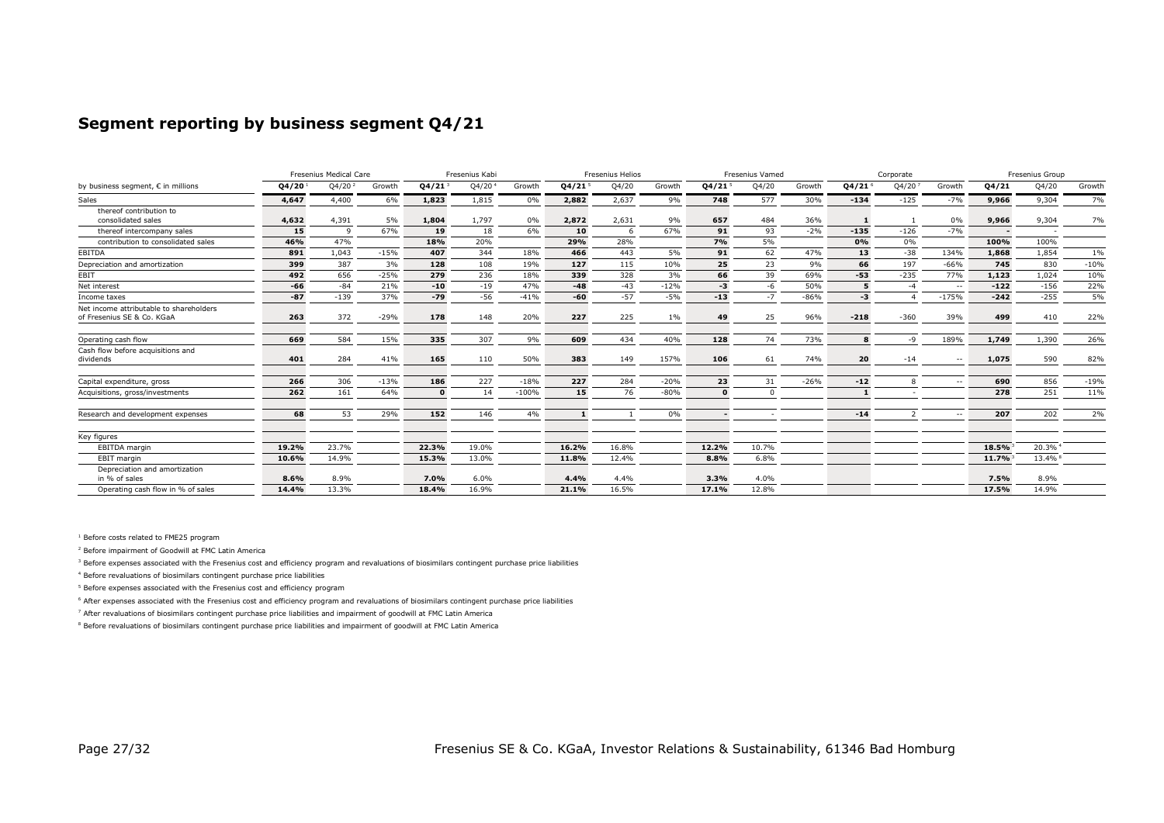### **Segment reporting by business segment Q4/21**

|                                                                       |       | Fresenius Medical Care<br>Fresenius Kabi |        |              |       |         | Fresenius Helios<br><b>Fresenius Vamed</b> |       |        |          | Corporate |        |        | Fresenius Group |               |        |        |        |
|-----------------------------------------------------------------------|-------|------------------------------------------|--------|--------------|-------|---------|--------------------------------------------|-------|--------|----------|-----------|--------|--------|-----------------|---------------|--------|--------|--------|
| by business segment, € in millions                                    | 04/20 | Q4/20                                    | Growth | 04/21        | Q4/20 | Growth  | Q4/21                                      | Q4/20 | Growth | Q4/21    | Q4/20     | Growth | Q4/21  | Q4/20           | Growth        | 04/21  | Q4/20  | Growth |
| Sales                                                                 | 4,647 | 4,400                                    | 6%     | 1,823        | 1,815 | 0%      | 2,882                                      | 2,637 | 9%     | 748      | 577       | 30%    | $-134$ | $-125$          | $-7%$         | 9,966  | 9,304  | 7%     |
| thereof contribution to<br>consolidated sales                         | 4,632 | 4,391                                    | 5%     | 1,804        | 1,797 | 0%      | 2,872                                      | 2,631 | 9%     | 657      | 484       | 36%    |        |                 | 0%            | 9,966  | 9,304  | 7%     |
| thereof intercompany sales                                            | 15    | $\Omega$                                 | 67%    | 19           | 18    | 6%      | 10                                         | -6    | 67%    | 91       | 93        | $-2%$  | $-135$ | $-126$          | $-7%$         |        |        |        |
| contribution to consolidated sales                                    | 46%   | 47%                                      |        | 18%          | 20%   |         | 29%                                        | 28%   |        | 7%       | 5%        |        | 0%     | 0%              |               | 100%   | 100%   |        |
| EBITDA                                                                | 891   | 1.043                                    | $-15%$ | 407          | 344   | 18%     | 466                                        | 443   | 5%     | 91       | 62        | 47%    | 13     | $-38$           | 134%          | 1,868  | 1,854  | 1%     |
| Depreciation and amortization                                         | 399   | 387                                      | 3%     | 128          | 108   | 19%     | 127                                        | 115   | 10%    | 25       | 23        | 9%     | 66     | 197             | $-66%$        | 745    | 830    | $-10%$ |
| EBIT                                                                  | 492   | 656                                      | $-25%$ | 279          | 236   | 18%     | 339                                        | 328   | 3%     | 66       | 39        | 69%    | $-53$  | $-235$          | 77%           | 1.123  | 1,024  | 10%    |
| Net interest                                                          | $-66$ | $-84$                                    | 21%    | $-10$        | $-19$ | 47%     | $-48$                                      | $-43$ | $-12%$ | -3       | -6        | 50%    |        | $-4$            | $\sim$ $\sim$ | $-122$ | $-156$ | 22%    |
| Income taxes                                                          | $-87$ | $-139$                                   | 37%    | $-79$        | $-56$ | $-41%$  | $-60$                                      | $-57$ | $-5%$  | $-13$    | $-7$      | $-86%$ | $-3$   |                 | $-175%$       | $-242$ | $-255$ | 5%     |
| Net income attributable to shareholders<br>of Fresenius SE & Co. KGaA | 263   | 372                                      | $-29%$ | 178          | 148   | 20%     | 227                                        | 225   | $1\%$  | 49       | 25        | 96%    | $-218$ | $-360$          | 39%           | 499    | 410    | 22%    |
| Operating cash flow                                                   | 669   | 584                                      | 15%    | 335          | 307   | 9%      | 609                                        | 434   | 40%    | 128      | 74        | 73%    | я      | $-9$            | 189%          | 1,749  | 1,390  | 26%    |
| Cash flow before acquisitions and<br>dividends                        | 401   | 284                                      | 41%    | 165          | 110   | 50%     | 383                                        | 149   | 157%   | 106      | 61        | 74%    | 20     | $-14$           | $\sim$ $-$    | 1,075  | 590    | 82%    |
| Capital expenditure, gross                                            | 266   | 306                                      | $-13%$ | 186          | 227   | $-18%$  | 227                                        | 284   | $-20%$ | 23       | 31        | $-26%$ | $-12$  | 8               | $\sim$ $\sim$ | 690    | 856    | $-19%$ |
| Acquisitions, gross/investments                                       | 262   | 161                                      | 64%    | $\mathbf{0}$ | 14    | $-100%$ | 15                                         | 76    | $-80%$ | $\Omega$ | $\Omega$  |        |        |                 |               | 278    | 251    | 11%    |
| Research and development expenses                                     | 68    | 53                                       | 29%    | 152          | 146   | 4%      | 1                                          |       | 0%     |          |           |        | $-14$  | $\overline{2}$  | $\sim$ $\sim$ | 207    | 202    | 2%     |
| Key figures                                                           |       |                                          |        |              |       |         |                                            |       |        |          |           |        |        |                 |               |        |        |        |
| <b>EBITDA</b> margin                                                  | 19.2% | 23.7%                                    |        | 22.3%        | 19.0% |         | 16.2%                                      | 16.8% |        | 12.2%    | 10.7%     |        |        |                 |               | 18.5%  | 20.3%  |        |
| <b>EBIT</b> margin                                                    | 10.6% | 14.9%                                    |        | 15.3%        | 13.0% |         | 11.8%                                      | 12.4% |        | 8.8%     | 6.8%      |        |        |                 |               | 11.7%  | 13.4%  |        |
| Depreciation and amortization<br>in % of sales                        | 8.6%  | 8.9%                                     |        | 7.0%         | 6.0%  |         | 4.4%                                       | 4.4%  |        | 3.3%     | 4.0%      |        |        |                 |               | 7.5%   | 8.9%   |        |
| Operating cash flow in % of sales                                     | 14.4% | 13.3%                                    |        | 18.4%        | 16.9% |         | 21.1%                                      | 16.5% |        | 17.1%    | 12.8%     |        |        |                 |               | 17.5%  | 14.9%  |        |

<sup>1</sup> Before costs related to FME25 program

<sup>2</sup> Before impairment of Goodwill at FMC Latin America

<sup>3</sup> Before expenses associated with the Fresenius cost and efficiency program and revaluations of biosimilars contingent purchase price liabilities

<sup>4</sup> Before revaluations of biosimilars contingent purchase price liabilities

<sup>5</sup> Before expenses associated with the Fresenius cost and efficiency program

<sup>6</sup> After expenses associated with the Fresenius cost and efficiency program and revaluations of biosimilars contingent purchase price liabilities

<sup>7</sup> After revaluations of biosimilars contingent purchase price liabilities and impairment of goodwill at FMC Latin America

<sup>8</sup> Before revaluations of biosimilars contingent purchase price liabilities and impairment of goodwill at FMC Latin America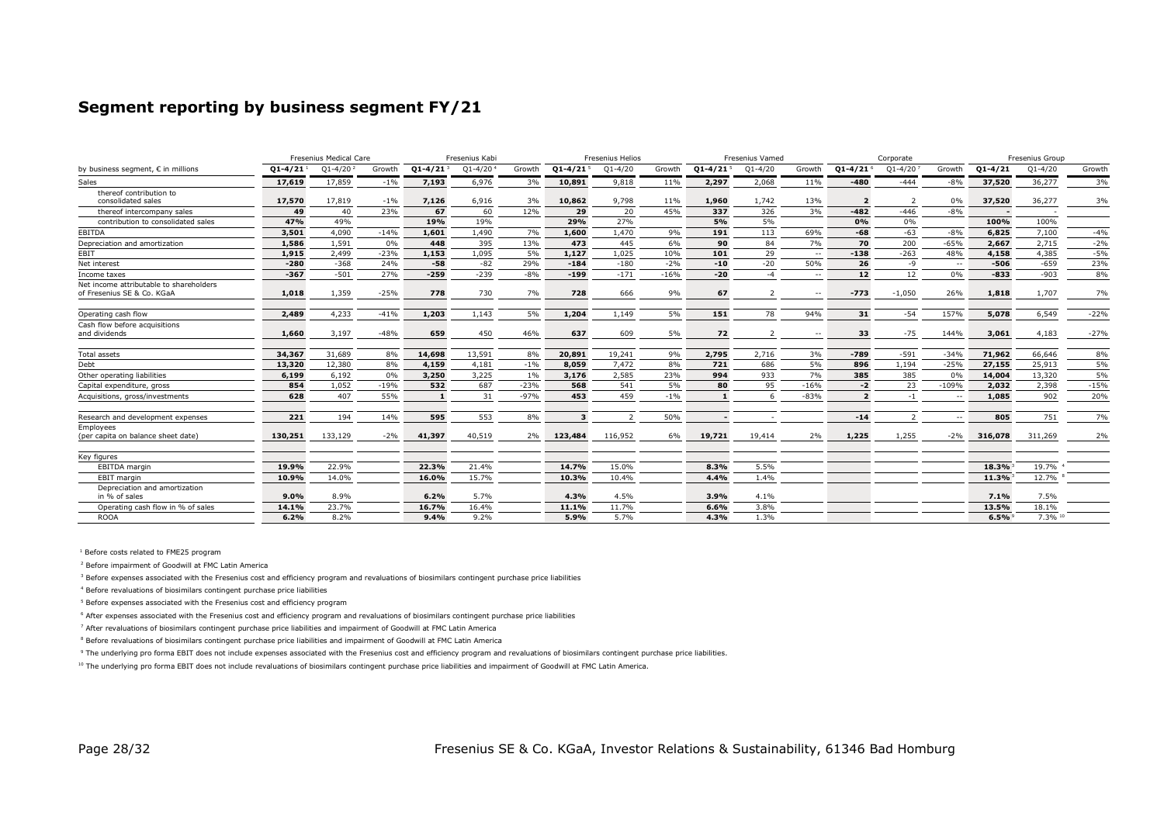### **Segment reporting by business segment FY/21**

|                                                                       |             | Fresenius Medical Care<br>Fresenius Kabi |        |              |             |        | Fresenius Helios         |                |        | <b>Fresenius Vamed</b>   |             | Corporate     |                          |                | Fresenius Group |             |             |        |
|-----------------------------------------------------------------------|-------------|------------------------------------------|--------|--------------|-------------|--------|--------------------------|----------------|--------|--------------------------|-------------|---------------|--------------------------|----------------|-----------------|-------------|-------------|--------|
| by business seament. € in millions                                    | $01 - 4/21$ | $01 - 4/20$                              | Growth | $Q1 - 4/21$  | $01 - 4/20$ | Growth | $Q1 - 4/21$ <sup>5</sup> | $O1 - 4/20$    | Growth | $Q1 - 4/21$ <sup>5</sup> | $Q1 - 4/20$ | Growth        | $Q1 - 4/21$ <sup>6</sup> | $Q1 - 4/20$    | Growth          | $Q1 - 4/21$ | $Q1 - 4/20$ | Growth |
| Sales                                                                 | 17,619      | 17,859                                   | $-1\%$ | 7,193        | 6,976       | 3%     | 10,891                   | 9,818          | 11%    | 2,297                    | 2,068       | 11%           | $-480$                   | $-444$         | $-8%$           | 37,520      | 36,277      | 3%     |
| thereof contribution to                                               |             |                                          |        |              |             |        |                          |                |        |                          |             |               |                          |                |                 |             |             |        |
| consolidated sales                                                    | 17,570      | 17,819                                   | $-1\%$ | 7,126        | 6,916       | 3%     | 10,862                   | 9,798          | 11%    | 1,960                    | 1,742       | 13%           |                          | 2              | 0%              | 37,520      | 36,277      | 3%     |
| thereof intercompany sales                                            | 49          | 40                                       | 23%    | 67           | 60          | 12%    | 29                       | 20             | 45%    | 337                      | 326         | 3%            | $-482$                   | $-446$         | $-8%$           |             |             |        |
| contribution to consolidated sales                                    | 47%         | 49%                                      |        | 19%          | 19%         |        | 29%                      | 27%            |        | 5%                       | 5%          |               | 0%                       | 0%             |                 | 100%        | 100%        |        |
| EBITDA                                                                | 3,501       | 4,090                                    | $-14%$ | 1,601        | 1,490       | 7%     | 1,600                    | 1,470          | 9%     | 191                      | 113         | 69%           | $-68$                    | $-63$          | $-8%$           | 6,825       | 7,100       | $-4%$  |
| Depreciation and amortization                                         | 1,586       | 1,591                                    | 0%     | 448          | 395         | 13%    | 473                      | 445            | 6%     | 90                       | 84          | 7%            | 70                       | 200            | $-65%$          | 2,667       | 2,715       | $-2%$  |
| <b>EBIT</b>                                                           | 1,915       | 2.499                                    | $-23%$ | 1,153        | 1,095       | 5%     | 1,127                    | 1,025          | 10%    | 101                      | 29          | $\sim$ $\sim$ | $-138$                   | $-263$         | 48%             | 4,158       | 4,385       | $-5%$  |
| Net interest                                                          | $-280$      | $-368$                                   | 24%    | $-58$        | $-82$       | 29%    | $-184$                   | $-180$         | $-2%$  | $-10$                    | $-20$       | 50%           | 26                       | -9             | $\sim$          | $-506$      | $-659$      | 23%    |
| Income taxes                                                          | $-367$      | $-501$                                   | 27%    | $-259$       | $-239$      | $-8%$  | $-199$                   | $-171$         | $-16%$ | $-20$                    | $-4$        | $\sim$        | 12                       | 12             | 0%              | $-833$      | $-903$      | 8%     |
| Net income attributable to shareholders<br>of Fresenius SE & Co. KGaA | 1,018       | 1.359                                    | $-25%$ | 778          | 730         | 7%     | 728                      | 666            | 9%     | 67                       |             | $\sim$ $\sim$ | $-773$                   | $-1,050$       | 26%             | 1,818       | 1,707       | 7%     |
| Operating cash flow                                                   | 2,489       | 4,233                                    | $-41%$ | 1,203        | 1,143       | 5%     | 1,204                    | 1,149          | 5%     | 151                      | 78          | 94%           | 31                       | $-54$          | 157%            | 5,078       | 6,549       | $-22%$ |
| Cash flow before acquisitions<br>and dividends                        | 1,660       | 3,197                                    | $-48%$ | 659          | 450         | 46%    | 637                      | 609            | 5%     | 72                       |             | $\sim$        | 33                       | $-75$          | 144%            | 3,061       | 4,183       | $-27%$ |
| <b>Total assets</b>                                                   | 34,367      | 31,689                                   | 8%     | 14,698       | 13,591      | 8%     | 20,891                   | 19,241         | 9%     | 2,795                    | 2,716       | 3%            | $-789$                   | $-591$         | $-34%$          | 71,962      | 66,646      | 8%     |
| Debt                                                                  | 13,320      | 12,380                                   | 8%     | 4,159        | 4,181       | $-1%$  | 8,059                    | 7,472          | 8%     | 721                      | 686         | 5%            | 896                      | 1,194          | $-25%$          | 27,155      | 25,913      | 5%     |
| Other operating liabilities                                           | 6,199       | 6,192                                    | $0\%$  | 3,250        | 3,225       | $1\%$  | 3,176                    | 2,585          | 23%    | 994                      | 933         | 7%            | 385                      | 385            | 0%              | 14,004      | 13,320      | 5%     |
| Capital expenditure, gross                                            | 854         | 1,052                                    | $-19%$ | 532          | 687         | $-23%$ | 568                      | 541            | 5%     | 80                       | 95          | $-16%$        | $-2$                     | 23             | $-109%$         | 2,032       | 2,398       | $-15%$ |
| Acquisitions, gross/investments                                       | 628         | 407                                      | 55%    | $\mathbf{1}$ | 31          | $-97%$ | 453                      | 459            | $-1\%$ |                          |             | $-83%$        |                          | $-1$           | $\sim$ $\sim$   | 1,085       | 902         | 20%    |
| Research and development expenses                                     | 221         | 194                                      | 14%    | 595          | 553         | 8%     | з                        | $\overline{2}$ | 50%    |                          |             |               | $-14$                    | $\overline{2}$ | $\sim$ $\sim$   | 805         | 751         | 7%     |
| Employees<br>(per capita on balance sheet date)                       | 130,251     | 133,129                                  | $-2%$  | 41,397       | 40,519      |        | 2% 123,484               | 116,952        | 6%     | 19,721                   | 19,414      | 2%            | 1,225                    | 1,255          | $-2\%$          | 316,078     | 311,269     | 2%     |
| Key figures                                                           |             |                                          |        |              |             |        |                          |                |        |                          |             |               |                          |                |                 |             |             |        |
| <b>EBITDA</b> margin                                                  | 19.9%       | 22.9%                                    |        | 22.3%        | 21.4%       |        | 14.7%                    | 15.0%          |        | 8.3%                     | 5.5%        |               |                          |                |                 | 18.3%       | 19.7%       |        |
| <b>EBIT</b> margin                                                    | 10.9%       | 14.0%                                    |        | 16.0%        | 15.7%       |        | 10.3%                    | 10.4%          |        | 4.4%                     | 1.4%        |               |                          |                |                 | 11.3%       | 12.7%       |        |
| Depreciation and amortization<br>in % of sales                        | 9.0%        | 8.9%                                     |        | 6.2%         | 5.7%        |        | 4.3%                     | 4.5%           |        | 3.9%                     | 4.1%        |               |                          |                |                 | 7.1%        | 7.5%        |        |
| Operating cash flow in % of sales                                     | 14.1%       | 23.7%                                    |        | 16.7%        | 16.4%       |        | 11.1%                    | 11.7%          |        | 6.6%                     | 3.8%        |               |                          |                |                 | 13.5%       | 18.1%       |        |
| <b>ROOA</b>                                                           | 6.2%        | 8.2%                                     |        | 9.4%         | 9.2%        |        | 5.9%                     | 5.7%           |        | 4.3%                     | 1.3%        |               |                          |                |                 | 6.5%        | 7.3% 10     |        |

<sup>1</sup> Before costs related to FME25 program

<sup>2</sup> Before impairment of Goodwill at FMC Latin America

<sup>3</sup> Before expenses associated with the Fresenius cost and efficiency program and revaluations of biosimilars contingent purchase price liabilities

<sup>4</sup> Before revaluations of biosimilars contingent purchase price liabilities

<sup>5</sup> Before expenses associated with the Fresenius cost and efficiency program

<sup>6</sup> After expenses associated with the Fresenius cost and efficiency program and revaluations of biosimilars contingent purchase price liabilities

<sup>7</sup> After revaluations of biosimilars contingent purchase price liabilities and impairment of Goodwill at FMC Latin America

<sup>8</sup> Before revaluations of biosimilars contingent purchase price liabilities and impairment of Goodwill at FMC Latin America

<sup>9</sup> The underlying pro forma EBIT does not include expenses associated with the Fresenius cost and efficiency program and revaluations of biosimilars contingent purchase price liabilities.

<sup>10</sup> The underlying pro forma EBIT does not include revaluations of biosimilars contingent purchase price liabilities and impairment of Goodwill at FMC Latin America.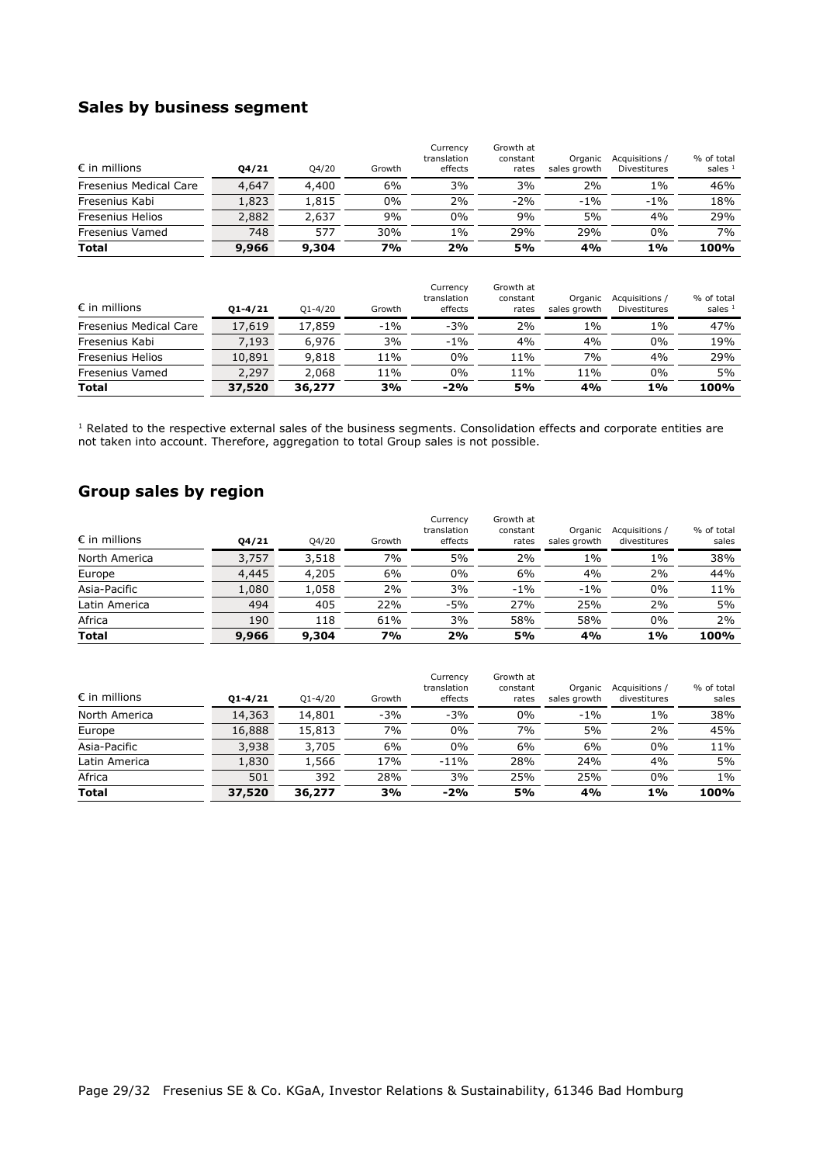# **Sales by business segment**

| <b>Total</b>            | 9,966 | 9,304 | 7%     | 2%                                 | 5%                             | 4%                      | 1%                                    | 100%                    |
|-------------------------|-------|-------|--------|------------------------------------|--------------------------------|-------------------------|---------------------------------------|-------------------------|
| Fresenius Vamed         | 748   | 577   | 30%    | 1%                                 | 29%                            | 29%                     | $0\%$                                 | 7%                      |
| <b>Fresenius Helios</b> | 2,882 | 2.637 | 9%     | $0\%$                              | 9%                             | 5%                      | 4%                                    | 29%                     |
| Fresenius Kabi          | 1,823 | 1,815 | $0\%$  | 2%                                 | $-2%$                          | $-1\%$                  | $-1\%$                                | 18%                     |
| Fresenius Medical Care  | 4,647 | 4,400 | 6%     | 3%                                 | 3%                             | 2%                      | 1%                                    | 46%                     |
| $\epsilon$ in millions  | 04/21 | 04/20 | Growth | Currency<br>translation<br>effects | Growth at<br>constant<br>rates | Organic<br>sales growth | Acquisitions /<br><b>Divestitures</b> | % of total<br>sales $1$ |

| $\epsilon$ in millions        | $01 - 4/21$ | $O1 - 4/20$ | Growth | Currency<br>translation<br>effects | Growth at<br>constant<br>rates | Organic<br>sales growth | Acquisitions /<br>Divestitures | % of total<br>sales $1$ |
|-------------------------------|-------------|-------------|--------|------------------------------------|--------------------------------|-------------------------|--------------------------------|-------------------------|
| <b>Fresenius Medical Care</b> | 17,619      | 17,859      | $-1%$  | $-3%$                              | 2%                             | 1%                      | $1\%$                          | 47%                     |
| Fresenius Kabi                | 7,193       | 6,976       | 3%     | $-1%$                              | 4%                             | 4%                      | $0\%$                          | 19%                     |
| <b>Fresenius Helios</b>       | 10,891      | 9,818       | 11%    | 0%                                 | 11%                            | 7%                      | 4%                             | 29%                     |
| Fresenius Vamed               | 2,297       | 2,068       | 11%    | 0%                                 | 11%                            | 11%                     | $0\%$                          | 5%                      |
| <b>Total</b>                  | 37,520      | 36,277      | 3%     | $-2%$                              | 5%                             | 4%                      | 1%                             | 100%                    |

 $<sup>1</sup>$  Related to the respective external sales of the business segments. Consolidation effects and corporate entities are</sup> not taken into account. Therefore, aggregation to total Group sales is not possible.

# **Group sales by region**

| $\epsilon$ in millions | 04/21 | Q4/20 | Growth | Currency<br>translation<br>effects | Growth at<br>constant<br>rates | Organic<br>sales growth | Acquisitions /<br>divestitures | % of total<br>sales |
|------------------------|-------|-------|--------|------------------------------------|--------------------------------|-------------------------|--------------------------------|---------------------|
| North America          | 3,757 | 3,518 | 7%     | 5%                                 | 2%                             | 1%                      | $1\%$                          | 38%                 |
| Europe                 | 4,445 | 4,205 | 6%     | $0\%$                              | 6%                             | 4%                      | 2%                             | 44%                 |
| Asia-Pacific           | 1,080 | 1,058 | 2%     | 3%                                 | $-1\%$                         | $-1\%$                  | $0\%$                          | 11%                 |
| Latin America          | 494   | 405   | 22%    | $-5%$                              | 27%                            | 25%                     | 2%                             | 5%                  |
| Africa                 | 190   | 118   | 61%    | 3%                                 | 58%                            | 58%                     | 0%                             | 2%                  |
| <b>Total</b>           | 9,966 | 9,304 | 7%     | 2%                                 | 5%                             | 4%                      | 1%                             | 100%                |

| <b>Total</b>           | 37,520      | 36,277      | 3%     | $-2%$                              | 5%                             | 4%                      | 1%                             | 100%                |
|------------------------|-------------|-------------|--------|------------------------------------|--------------------------------|-------------------------|--------------------------------|---------------------|
| Africa                 | 501         | 392         | 28%    | 3%                                 | 25%                            | 25%                     | 0%                             | $1\%$               |
| Latin America          | 1,830       | 1,566       | 17%    | $-11%$                             | 28%                            | 24%                     | 4%                             | 5%                  |
| Asia-Pacific           | 3,938       | 3,705       | 6%     | $0\%$                              | 6%                             | 6%                      | 0%                             | 11%                 |
| Europe                 | 16,888      | 15,813      | 7%     | $0\%$                              | 7%                             | 5%                      | 2%                             | 45%                 |
| North America          | 14,363      | 14,801      | $-3%$  | $-3%$                              | 0%                             | $-1\%$                  | $1\%$                          | 38%                 |
| $\epsilon$ in millions | $01 - 4/21$ | $Q1 - 4/20$ | Growth | Currency<br>translation<br>effects | Growth at<br>constant<br>rates | Organic<br>sales growth | Acquisitions /<br>divestitures | % of total<br>sales |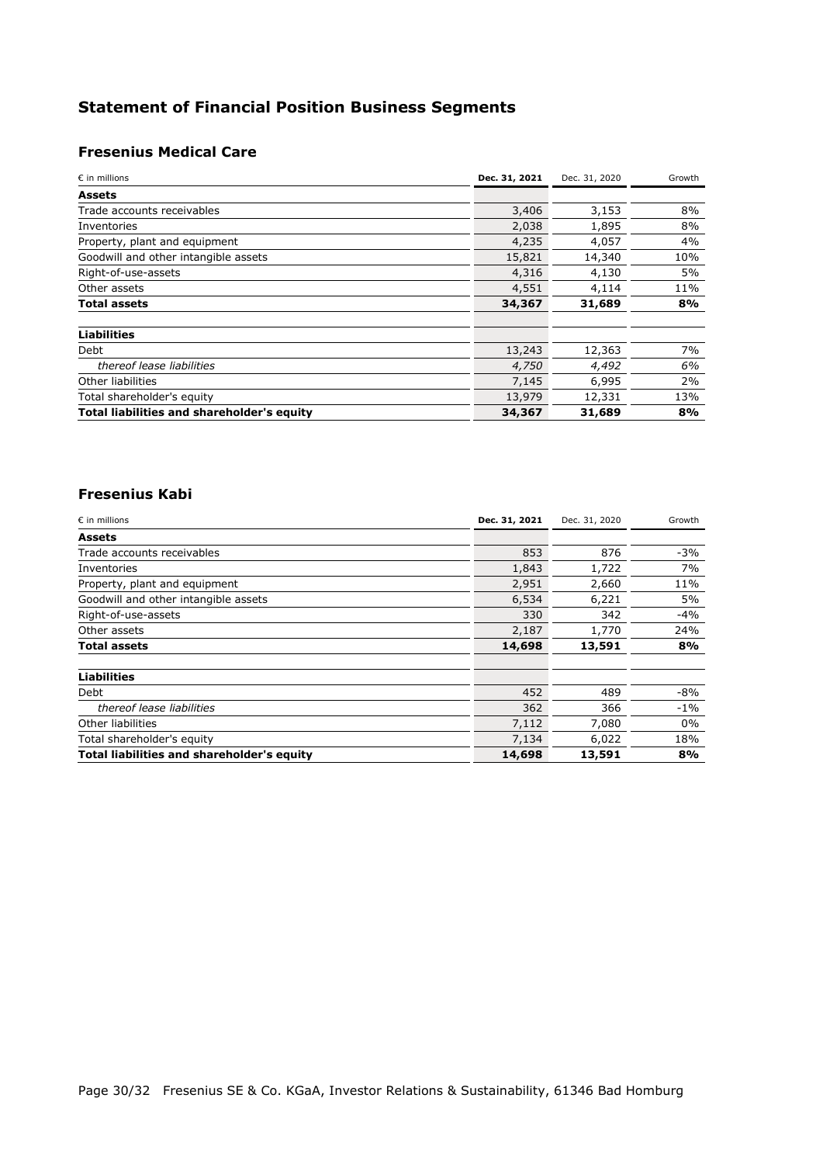# **Statement of Financial Position Business Segments**

# **Fresenius Medical Care**

| $\epsilon$ in millions                     | Dec. 31, 2021 | Dec. 31, 2020 | Growth |
|--------------------------------------------|---------------|---------------|--------|
| Assets                                     |               |               |        |
| Trade accounts receivables                 | 3,406         | 3,153         | 8%     |
| Inventories                                | 2,038         | 1,895         | 8%     |
| Property, plant and equipment              | 4,235         | 4,057         | 4%     |
| Goodwill and other intangible assets       | 15,821        | 14,340        | 10%    |
| Right-of-use-assets                        | 4,316         | 4,130         | 5%     |
| Other assets                               | 4,551         | 4,114         | 11%    |
| Total assets                               | 34,367        | 31,689        | 8%     |
| <b>Liabilities</b>                         |               |               |        |
| Debt                                       | 13,243        | 12,363        | 7%     |
| thereof lease liabilities                  | 4,750         | 4,492         | 6%     |
| Other liabilities                          | 7,145         | 6,995         | 2%     |
| Total shareholder's equity                 | 13,979        | 12,331        | 13%    |
| Total liabilities and shareholder's equity | 34,367        | 31,689        | 8%     |

### **Fresenius Kabi**

| $\epsilon$ in millions                     | Dec. 31, 2021 | Dec. 31, 2020 | Growth |
|--------------------------------------------|---------------|---------------|--------|
| <b>Assets</b>                              |               |               |        |
| Trade accounts receivables                 | 853           | 876           | $-3%$  |
| Inventories                                | 1,843         | 1,722         | 7%     |
| Property, plant and equipment              | 2,951         | 2,660         | 11%    |
| Goodwill and other intangible assets       | 6,534         | 6,221         | 5%     |
| Right-of-use-assets                        | 330           | 342           | $-4%$  |
| Other assets                               | 2,187         | 1,770         | 24%    |
| Total assets                               | 14,698        | 13,591        | 8%     |
|                                            |               |               |        |
| <b>Liabilities</b>                         |               |               |        |
| Debt                                       | 452           | 489           | $-8%$  |
| thereof lease liabilities                  | 362           | 366           | $-1\%$ |
| Other liabilities                          | 7,112         | 7,080         | $0\%$  |
| Total shareholder's equity                 | 7,134         | 6,022         | 18%    |
| Total liabilities and shareholder's equity | 14,698        | 13,591        | 8%     |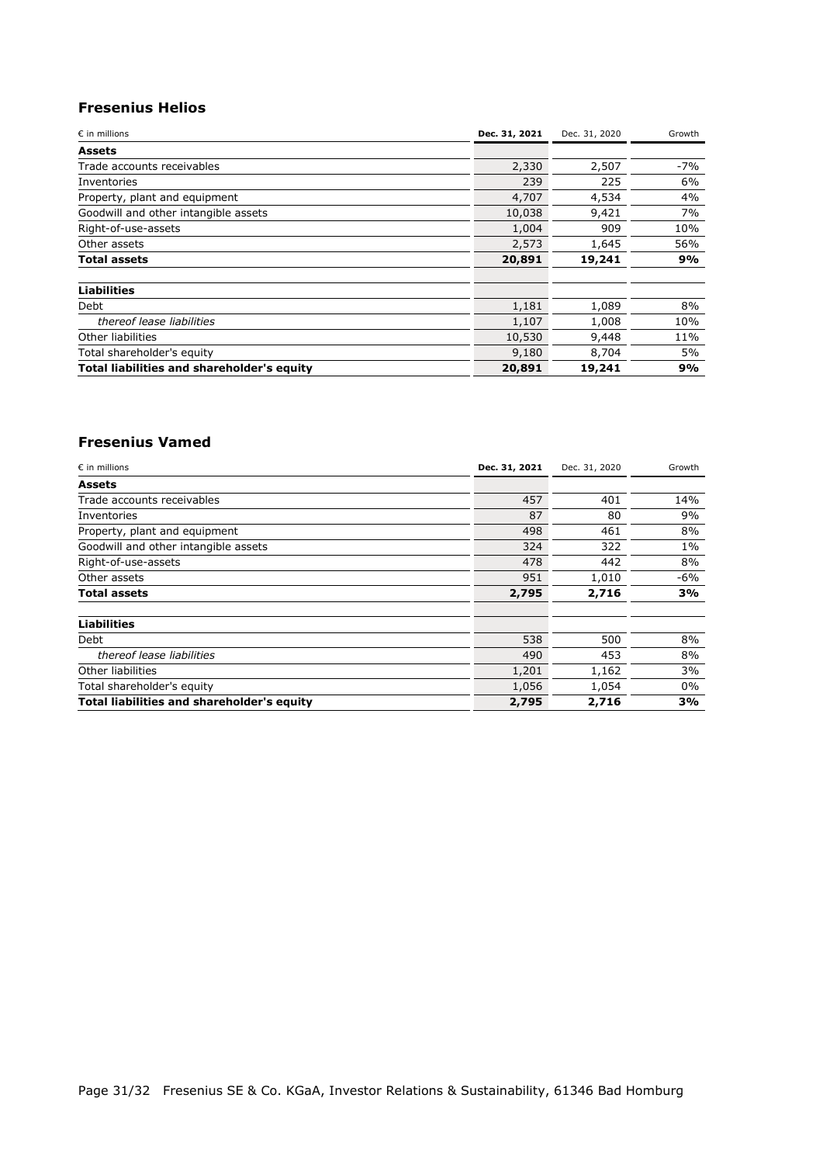# **Fresenius Helios**

| $\epsilon$ in millions                     | Dec. 31, 2021 | Dec. 31, 2020 | Growth |
|--------------------------------------------|---------------|---------------|--------|
| <b>Assets</b>                              |               |               |        |
| Trade accounts receivables                 | 2,330         | 2,507         | $-7%$  |
| Inventories                                | 239           | 225           | 6%     |
| Property, plant and equipment              | 4,707         | 4,534         | 4%     |
| Goodwill and other intangible assets       | 10,038        | 9,421         | 7%     |
| Right-of-use-assets                        | 1,004         | 909           | 10%    |
| Other assets                               | 2,573         | 1,645         | 56%    |
| Total assets                               | 20,891        | 19,241        | 9%     |
| <b>Liabilities</b>                         |               |               |        |
| Debt                                       | 1,181         | 1,089         | 8%     |
| thereof lease liabilities                  | 1,107         | 1,008         | 10%    |
| Other liabilities                          | 10,530        | 9,448         | 11%    |
| Total shareholder's equity                 | 9,180         | 8,704         | 5%     |
| Total liabilities and shareholder's equity | 20,891        | 19,241        | 9%     |

#### **Fresenius Vamed**

| $\epsilon$ in millions                     | Dec. 31, 2021 | Dec. 31, 2020 | Growth |
|--------------------------------------------|---------------|---------------|--------|
| <b>Assets</b>                              |               |               |        |
| Trade accounts receivables                 | 457           | 401           | 14%    |
| Inventories                                | 87            | 80            | 9%     |
| Property, plant and equipment              | 498           | 461           | 8%     |
| Goodwill and other intangible assets       | 324           | 322           | $1\%$  |
| Right-of-use-assets                        | 478           | 442           | 8%     |
| Other assets                               | 951           | 1,010         | $-6%$  |
| Total assets                               | 2,795         | 2,716         | 3%     |
| <b>Liabilities</b>                         |               |               |        |
| Debt                                       | 538           | 500           | 8%     |
| thereof lease liabilities                  | 490           | 453           | 8%     |
| Other liabilities                          | 1,201         | 1,162         | 3%     |
| Total shareholder's equity                 | 1,056         | 1,054         | $0\%$  |
| Total liabilities and shareholder's equity | 2,795         | 2,716         | 3%     |